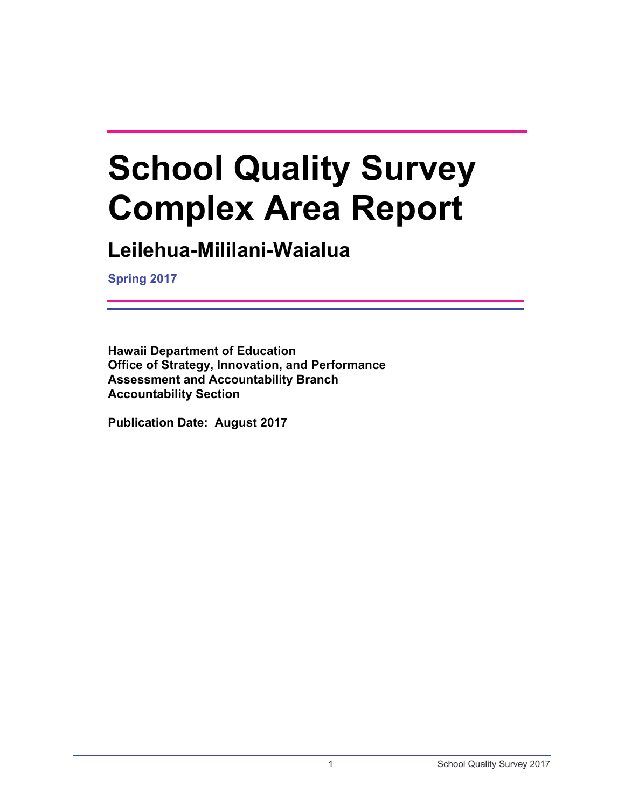# **School Quality Survey Complex Area Report**

## **Leilehua-Mililani-Waialua**

**Spring 2017**

**Hawaii Department of Education Office of Strategy, Innovation, and Performance Assessment and Accountability Branch Accountability Section**

**Publication Date: August 2017**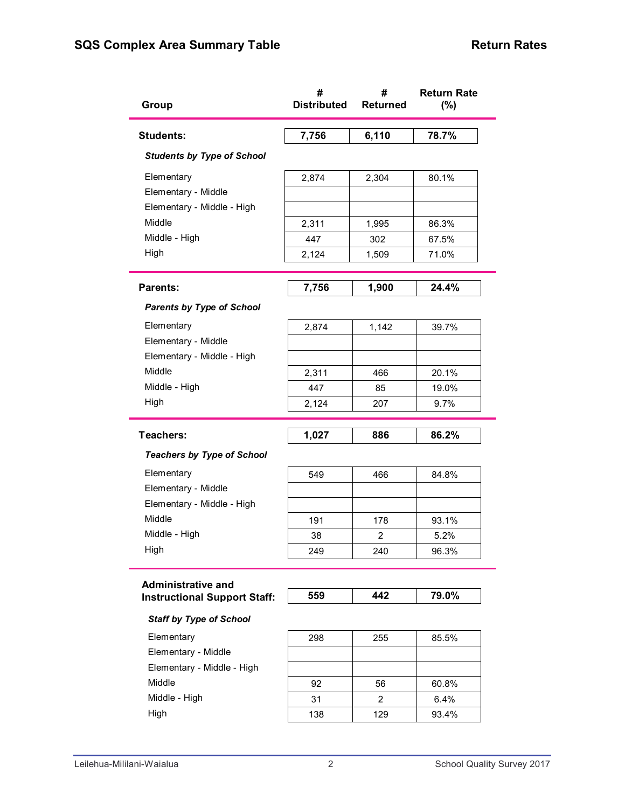| Group                               | #<br><b>Distributed</b> | #<br><b>Returned</b> | <b>Return Rate</b><br>(%) |
|-------------------------------------|-------------------------|----------------------|---------------------------|
| <b>Students:</b>                    | 7,756                   | 6,110                | 78.7%                     |
| <b>Students by Type of School</b>   |                         |                      |                           |
| Elementary                          | 2,874                   | 2,304                | 80.1%                     |
| Elementary - Middle                 |                         |                      |                           |
| Elementary - Middle - High          |                         |                      |                           |
| Middle                              | 2,311                   | 1,995                | 86.3%                     |
| Middle - High                       | 447                     | 302                  | 67.5%                     |
| High                                | 2,124                   | 1,509                | 71.0%                     |
| <b>Parents:</b>                     | 7,756                   | 1,900                | 24.4%                     |
| <b>Parents by Type of School</b>    |                         |                      |                           |
| Elementary                          | 2,874                   | 1,142                | 39.7%                     |
| Elementary - Middle                 |                         |                      |                           |
| Elementary - Middle - High          |                         |                      |                           |
| Middle                              | 2,311                   | 466                  | 20.1%                     |
| Middle - High                       | 447                     | 85                   | 19.0%                     |
| High                                | 2,124                   | 207                  | 9.7%                      |
| Teachers:                           | 1,027                   | 886                  | 86.2%                     |
| <b>Teachers by Type of School</b>   |                         |                      |                           |
| Elementary                          | 549                     | 466                  | 84.8%                     |
| Elementary - Middle                 |                         |                      |                           |
| Elementary - Middle - High          |                         |                      |                           |
| Middle                              | 191                     | 178                  | 93.1%                     |
| Middle - High                       | 38                      | 2                    | 5.2%                      |
| High                                | 249                     | 240                  | 96.3%                     |
| <b>Administrative and</b>           |                         |                      |                           |
| <b>Instructional Support Staff:</b> | 559                     | 442                  | 79.0%                     |
| <b>Staff by Type of School</b>      |                         |                      |                           |
| Elementary                          | 298                     | 255                  | 85.5%                     |
| Elementary - Middle                 |                         |                      |                           |
| Elementary - Middle - High          |                         |                      |                           |
| Middle                              | 92                      | 56                   | 60.8%                     |
|                                     |                         |                      |                           |
| Middle - High                       | 31                      | 2                    | 6.4%                      |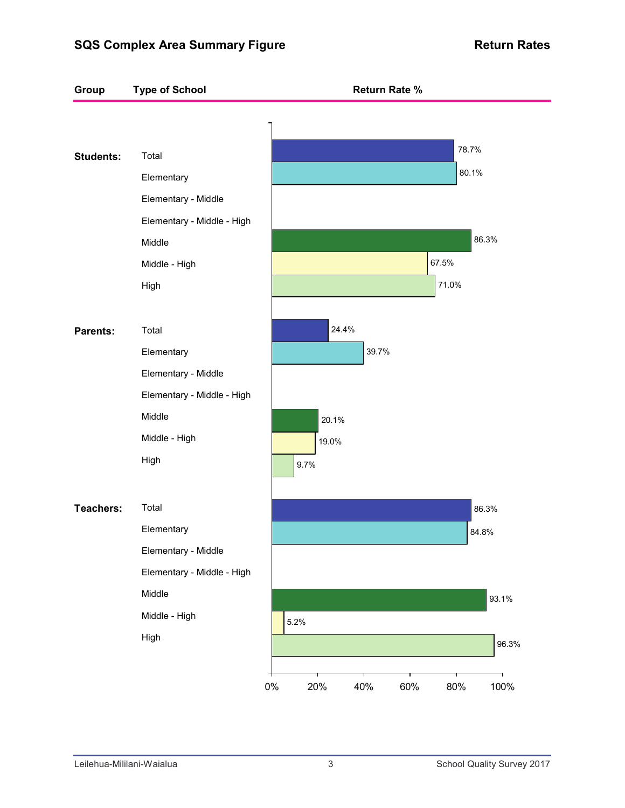## **SQS Complex Area Summary Figure Mateure Return Rates**

| Total<br>Elementary<br>Elementary - Middle |       |       |       |       |
|--------------------------------------------|-------|-------|-------|-------|
|                                            |       |       |       |       |
|                                            |       |       |       | 78.7% |
|                                            |       |       |       | 80.1% |
|                                            |       |       |       |       |
| Elementary - Middle - High                 |       |       |       |       |
| Middle                                     |       |       |       | 86.3% |
| Middle - High                              |       |       | 67.5% |       |
| High                                       |       |       |       |       |
|                                            |       |       |       |       |
| Total                                      | 24.4% |       |       |       |
| Elementary                                 |       | 39.7% |       |       |
| Elementary - Middle                        |       |       |       |       |
| Elementary - Middle - High                 |       |       |       |       |
| Middle                                     | 20.1% |       |       |       |
| Middle - High                              | 19.0% |       |       |       |
| High                                       |       |       |       |       |
|                                            |       |       |       |       |
| Total                                      |       |       |       | 86.3% |
| Elementary                                 |       |       |       | 84.8% |
| Elementary - Middle                        |       |       |       |       |
| Elementary - Middle - High                 |       |       |       |       |
| Middle                                     |       |       |       | 93.1% |
| Middle - High                              |       |       |       |       |
| High                                       |       |       |       | 96.3% |
|                                            | 5.2%  | 9.7%  |       | 71.0% |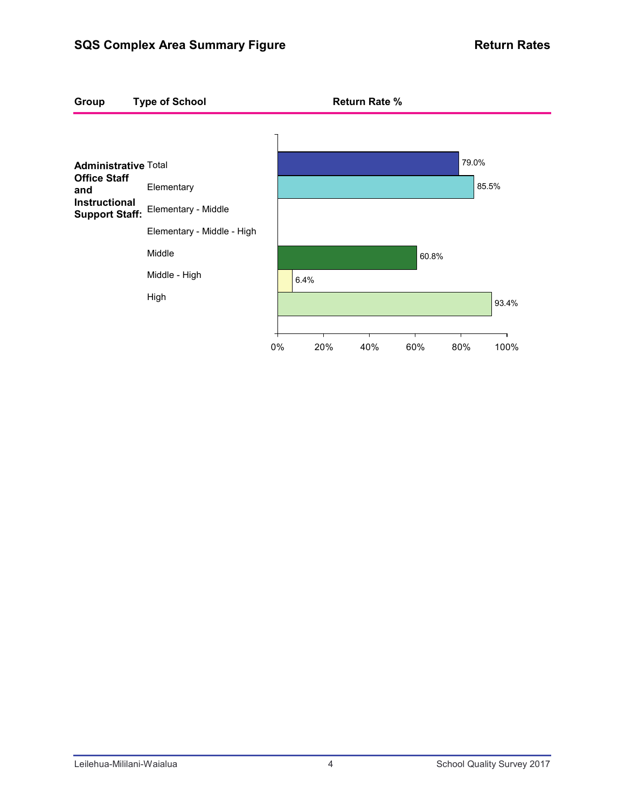## **SQS Complex Area Summary Figure Mateure Return Rates**

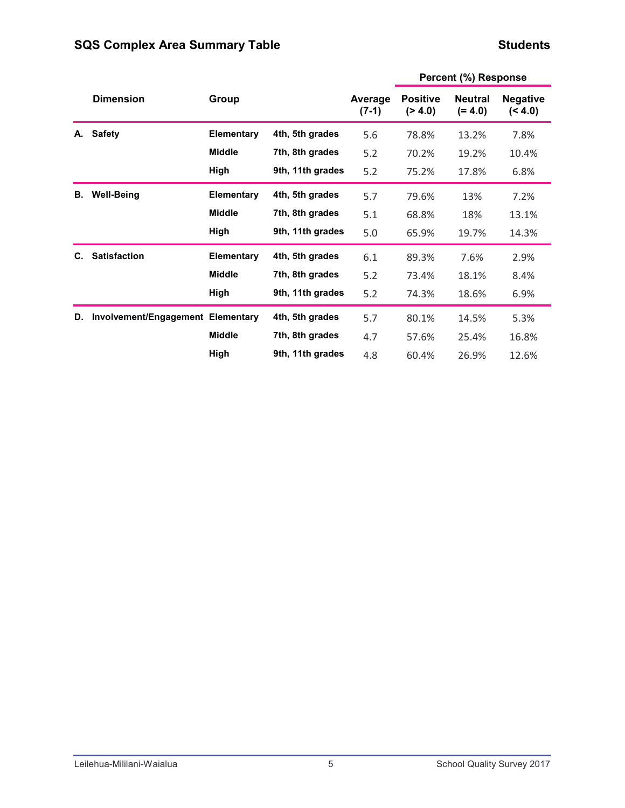#### **Students**

|    |                                   |                   |                  |                    |                             | 1797122                     |                          |
|----|-----------------------------------|-------------------|------------------|--------------------|-----------------------------|-----------------------------|--------------------------|
|    | <b>Dimension</b>                  | Group             |                  | Average<br>$(7-1)$ | <b>Positive</b><br>( > 4.0) | <b>Neutral</b><br>$(= 4.0)$ | <b>Negative</b><br>(4.0) |
| А. | <b>Safety</b>                     | <b>Elementary</b> | 4th, 5th grades  | 5.6                | 78.8%                       | 13.2%                       | 7.8%                     |
|    |                                   | <b>Middle</b>     | 7th, 8th grades  | 5.2                | 70.2%                       | 19.2%                       | 10.4%                    |
|    |                                   | High              | 9th, 11th grades | 5.2                | 75.2%                       | 17.8%                       | 6.8%                     |
| В. | <b>Well-Being</b>                 | <b>Elementary</b> | 4th, 5th grades  | 5.7                | 79.6%                       | 13%                         | 7.2%                     |
|    |                                   | <b>Middle</b>     | 7th, 8th grades  | 5.1                | 68.8%                       | 18%                         | 13.1%                    |
|    |                                   | High              | 9th, 11th grades | 5.0                | 65.9%                       | 19.7%                       | 14.3%                    |
| C. | <b>Satisfaction</b>               | <b>Elementary</b> | 4th, 5th grades  | 6.1                | 89.3%                       | 7.6%                        | 2.9%                     |
|    |                                   | <b>Middle</b>     | 7th, 8th grades  | 5.2                | 73.4%                       | 18.1%                       | 8.4%                     |
|    |                                   | High              | 9th, 11th grades | 5.2                | 74.3%                       | 18.6%                       | 6.9%                     |
| D. | Involvement/Engagement Elementary |                   | 4th, 5th grades  | 5.7                | 80.1%                       | 14.5%                       | 5.3%                     |
|    |                                   | <b>Middle</b>     | 7th, 8th grades  | 4.7                | 57.6%                       | 25.4%                       | 16.8%                    |
|    |                                   | High              | 9th, 11th grades | 4.8                | 60.4%                       | 26.9%                       | 12.6%                    |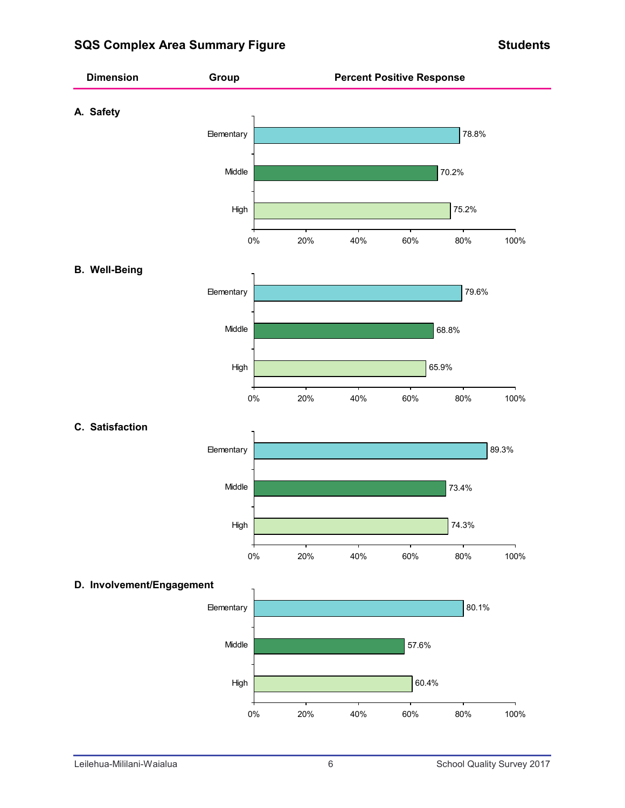## **SQS Complex Area Summary Figure Students Area Students**

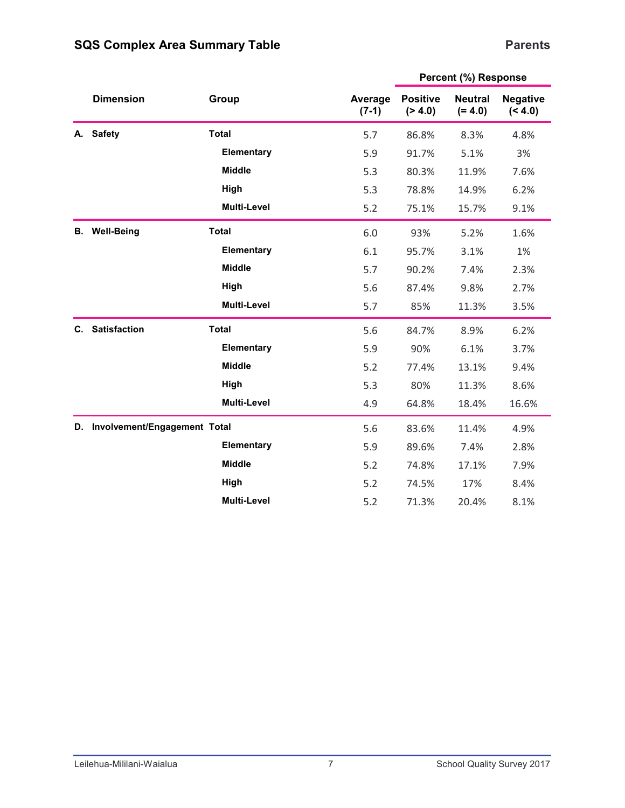## **Parents**

|           |                              |                    |                    |                                                                                                                                                                                                                                                                                                                                                                                                                                                                                          | <b>Neutral</b><br>$(= 4.0)$<br>8.3%<br>5.1%<br>11.9%<br>14.9%<br>15.7%<br>5.2%<br>3.1% |       |  |
|-----------|------------------------------|--------------------|--------------------|------------------------------------------------------------------------------------------------------------------------------------------------------------------------------------------------------------------------------------------------------------------------------------------------------------------------------------------------------------------------------------------------------------------------------------------------------------------------------------------|----------------------------------------------------------------------------------------|-------|--|
|           | <b>Dimension</b>             | Group              | Average<br>$(7-1)$ | Percent (%) Response<br><b>Positive</b><br>(> 4.0)<br>5.7<br>86.8%<br>5.9<br>91.7%<br>5.3<br>80.3%<br>5.3<br>78.8%<br>5.2<br>75.1%<br>6.0<br>93%<br>6.1<br>95.7%<br>5.7<br>90.2%<br>7.4%<br>5.6<br>87.4%<br>9.8%<br>5.7<br>85%<br>11.3%<br>5.6<br>8.9%<br>84.7%<br>5.9<br>90%<br>6.1%<br>5.2<br>77.4%<br>13.1%<br>5.3<br>80%<br>11.3%<br>4.9<br>64.8%<br>18.4%<br>5.6<br>83.6%<br>11.4%<br>5.9<br>89.6%<br>7.4%<br>5.2<br>74.8%<br>17.1%<br>17%<br>5.2<br>74.5%<br>5.2<br>71.3%<br>20.4% | <b>Negative</b><br>(< 4.0)                                                             |       |  |
| А.        | <b>Safety</b>                | <b>Total</b>       |                    |                                                                                                                                                                                                                                                                                                                                                                                                                                                                                          |                                                                                        | 4.8%  |  |
|           |                              | Elementary         |                    |                                                                                                                                                                                                                                                                                                                                                                                                                                                                                          |                                                                                        | 3%    |  |
|           |                              | <b>Middle</b>      |                    |                                                                                                                                                                                                                                                                                                                                                                                                                                                                                          |                                                                                        | 7.6%  |  |
|           |                              | High               |                    |                                                                                                                                                                                                                                                                                                                                                                                                                                                                                          |                                                                                        | 6.2%  |  |
|           |                              | Multi-Level        |                    |                                                                                                                                                                                                                                                                                                                                                                                                                                                                                          |                                                                                        | 9.1%  |  |
| <b>B.</b> | <b>Well-Being</b>            | <b>Total</b>       |                    |                                                                                                                                                                                                                                                                                                                                                                                                                                                                                          |                                                                                        | 1.6%  |  |
|           |                              | Elementary         |                    |                                                                                                                                                                                                                                                                                                                                                                                                                                                                                          |                                                                                        | 1%    |  |
|           |                              | <b>Middle</b>      |                    |                                                                                                                                                                                                                                                                                                                                                                                                                                                                                          |                                                                                        | 2.3%  |  |
|           |                              | High               |                    |                                                                                                                                                                                                                                                                                                                                                                                                                                                                                          |                                                                                        | 2.7%  |  |
|           |                              | <b>Multi-Level</b> |                    |                                                                                                                                                                                                                                                                                                                                                                                                                                                                                          |                                                                                        | 3.5%  |  |
| C.        | <b>Satisfaction</b>          | <b>Total</b>       |                    |                                                                                                                                                                                                                                                                                                                                                                                                                                                                                          |                                                                                        | 6.2%  |  |
|           |                              | Elementary         |                    |                                                                                                                                                                                                                                                                                                                                                                                                                                                                                          |                                                                                        | 3.7%  |  |
|           |                              | <b>Middle</b>      |                    |                                                                                                                                                                                                                                                                                                                                                                                                                                                                                          |                                                                                        | 9.4%  |  |
|           |                              | High               |                    |                                                                                                                                                                                                                                                                                                                                                                                                                                                                                          |                                                                                        | 8.6%  |  |
|           |                              | Multi-Level        |                    |                                                                                                                                                                                                                                                                                                                                                                                                                                                                                          |                                                                                        | 16.6% |  |
| D.        | Involvement/Engagement Total |                    |                    |                                                                                                                                                                                                                                                                                                                                                                                                                                                                                          |                                                                                        | 4.9%  |  |
|           |                              | Elementary         |                    |                                                                                                                                                                                                                                                                                                                                                                                                                                                                                          |                                                                                        | 2.8%  |  |
|           |                              | <b>Middle</b>      |                    |                                                                                                                                                                                                                                                                                                                                                                                                                                                                                          |                                                                                        | 7.9%  |  |
|           |                              | High               |                    |                                                                                                                                                                                                                                                                                                                                                                                                                                                                                          |                                                                                        | 8.4%  |  |
|           |                              | <b>Multi-Level</b> |                    |                                                                                                                                                                                                                                                                                                                                                                                                                                                                                          |                                                                                        | 8.1%  |  |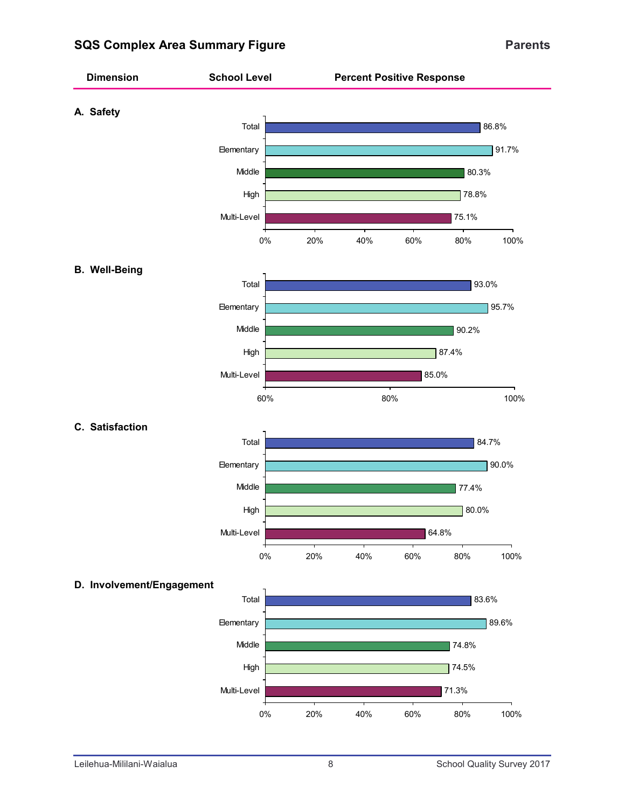## **SQS Complex Area Summary Figure Parents Parents**

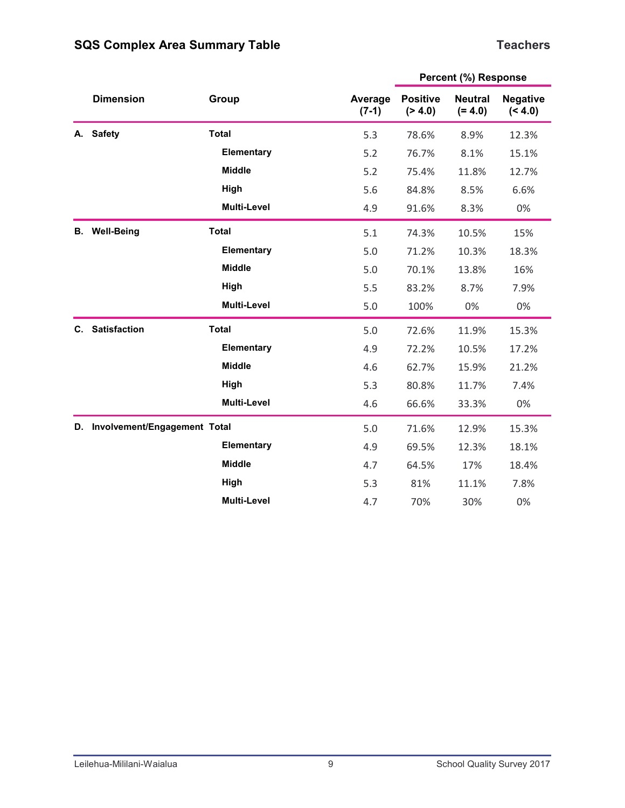## **Teachers**

|    | <b>Dimension</b>             | Group              | Average<br>$(7-1)$ | <b>Positive</b><br>( > 4.0) | Percent (%) Response<br><b>Neutral</b><br>$(= 4.0)$<br>8.9%<br>8.1%<br>11.8%<br>8.5%<br>8.3%<br>10.5%<br>10.3%<br>13.8%<br>8.7%<br>0%<br>11.9%<br>10.5%<br>15.9%<br>11.7%<br>33.3%<br>12.9%<br>12.3%<br>17%<br>11.1%<br>30% | <b>Negative</b><br>(< 4.0) |  |
|----|------------------------------|--------------------|--------------------|-----------------------------|-----------------------------------------------------------------------------------------------------------------------------------------------------------------------------------------------------------------------------|----------------------------|--|
| А. | <b>Safety</b>                | <b>Total</b>       | 5.3                | 78.6%                       |                                                                                                                                                                                                                             | 12.3%                      |  |
|    |                              | Elementary         | 5.2                | 76.7%                       |                                                                                                                                                                                                                             | 15.1%                      |  |
|    |                              | <b>Middle</b>      | 5.2                | 75.4%                       |                                                                                                                                                                                                                             | 12.7%                      |  |
|    |                              | High               | 5.6                | 84.8%                       |                                                                                                                                                                                                                             | 6.6%                       |  |
|    |                              | <b>Multi-Level</b> | 4.9                | 91.6%                       |                                                                                                                                                                                                                             | 0%                         |  |
| В. | <b>Well-Being</b>            | <b>Total</b>       | 5.1                | 74.3%                       |                                                                                                                                                                                                                             | 15%                        |  |
|    |                              | Elementary         | 5.0                | 71.2%                       |                                                                                                                                                                                                                             | 18.3%                      |  |
|    |                              | <b>Middle</b>      | 5.0                | 70.1%                       |                                                                                                                                                                                                                             | 16%                        |  |
|    |                              | High               | 5.5                | 83.2%                       |                                                                                                                                                                                                                             | 7.9%                       |  |
|    |                              | <b>Multi-Level</b> | 5.0                | 100%                        |                                                                                                                                                                                                                             | 0%                         |  |
| C. | <b>Satisfaction</b>          | <b>Total</b>       | 5.0                | 72.6%                       |                                                                                                                                                                                                                             | 15.3%                      |  |
|    |                              | Elementary         | 4.9                | 72.2%                       |                                                                                                                                                                                                                             | 17.2%                      |  |
|    |                              | <b>Middle</b>      | 4.6                | 62.7%                       |                                                                                                                                                                                                                             | 21.2%                      |  |
|    |                              | High               | 5.3                | 80.8%                       |                                                                                                                                                                                                                             | 7.4%                       |  |
|    |                              | <b>Multi-Level</b> | 4.6                | 66.6%                       |                                                                                                                                                                                                                             | 0%                         |  |
| D. | Involvement/Engagement Total |                    | 5.0                | 71.6%                       |                                                                                                                                                                                                                             | 15.3%                      |  |
|    |                              | Elementary         | 4.9                | 69.5%                       |                                                                                                                                                                                                                             | 18.1%                      |  |
|    |                              | <b>Middle</b>      | 4.7                | 64.5%                       |                                                                                                                                                                                                                             | 18.4%                      |  |
|    |                              | High               | 5.3                | 81%                         |                                                                                                                                                                                                                             | 7.8%                       |  |
|    |                              | <b>Multi-Level</b> | 4.7                | 70%                         |                                                                                                                                                                                                                             | 0%                         |  |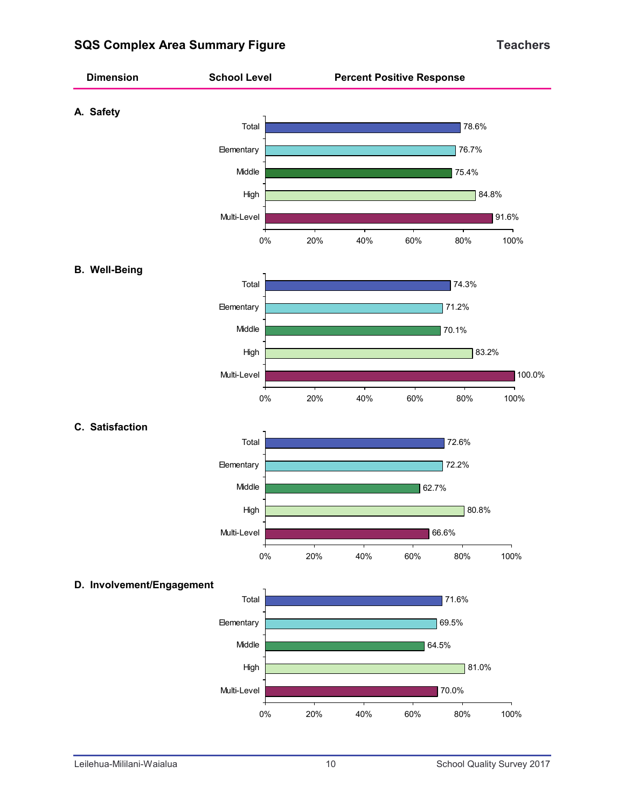## **SQS Complex Area Summary Figure Teachers Teachers**

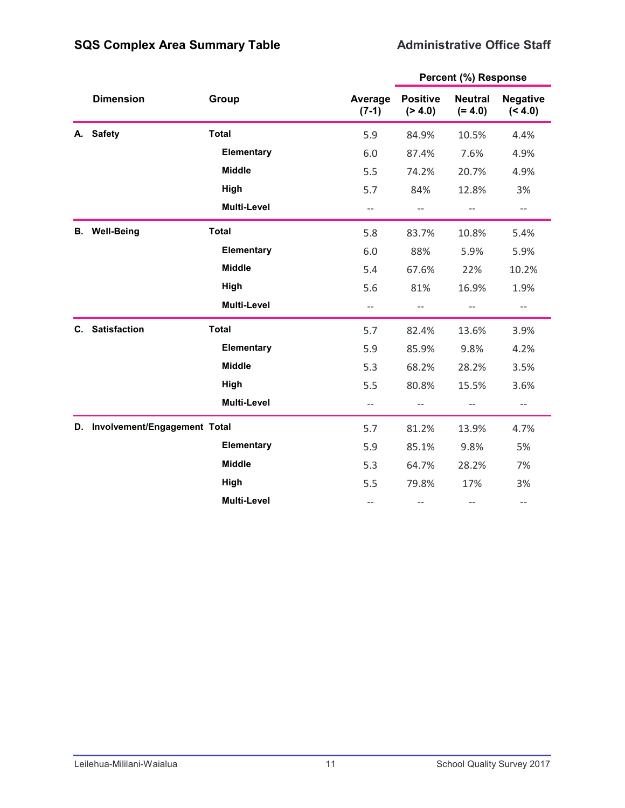## **Administrative Office Staff**

|    |                              |                    |                          |                             | Percent (%) Response        |                                                     |  |
|----|------------------------------|--------------------|--------------------------|-----------------------------|-----------------------------|-----------------------------------------------------|--|
|    | <b>Dimension</b>             | Group              | Average<br>$(7-1)$       | <b>Positive</b><br>( > 4.0) | <b>Neutral</b><br>$(= 4.0)$ | <b>Negative</b><br>(< 4.0)                          |  |
| А. | <b>Safety</b>                | <b>Total</b>       | 5.9                      | 84.9%                       | 10.5%                       | 4.4%                                                |  |
|    |                              | Elementary         | 6.0                      | 87.4%                       | 7.6%                        | 4.9%                                                |  |
|    |                              | <b>Middle</b>      | 5.5                      | 74.2%                       | 20.7%                       | 4.9%                                                |  |
|    |                              | High               | 5.7                      | 84%                         | 12.8%                       | 3%                                                  |  |
|    |                              | <b>Multi-Level</b> | $-$                      | $-$                         | $-$                         | $-$                                                 |  |
| В. | <b>Well-Being</b>            | <b>Total</b>       | 5.8                      | 83.7%                       | 10.8%                       | 5.4%                                                |  |
|    |                              | Elementary         | 6.0                      | 88%                         | 5.9%                        | 5.9%                                                |  |
|    |                              | <b>Middle</b>      | 5.4                      | 67.6%                       | 22%                         | 10.2%                                               |  |
|    |                              | High               | 5.6                      | 81%                         | 16.9%                       | 1.9%                                                |  |
|    |                              | <b>Multi-Level</b> | $\qquad \qquad -$        | $-\,-$                      | $-\,-$                      | $\hspace{0.05cm} -\hspace{0.05cm} -\hspace{0.05cm}$ |  |
| C. | <b>Satisfaction</b>          | <b>Total</b>       | 5.7                      | 82.4%                       | 13.6%                       | 3.9%                                                |  |
|    |                              | Elementary         | 5.9                      | 85.9%                       | 9.8%                        | 4.2%                                                |  |
|    |                              | <b>Middle</b>      | 5.3                      | 68.2%                       | 28.2%                       | 3.5%                                                |  |
|    |                              | High               | 5.5                      | 80.8%                       | 15.5%                       | 3.6%                                                |  |
|    |                              | <b>Multi-Level</b> | $\overline{\phantom{a}}$ | $\qquad \qquad -$           | $-$                         | $\overline{\phantom{m}}$                            |  |
| D. | Involvement/Engagement Total |                    | 5.7                      | 81.2%                       | 13.9%                       | 4.7%                                                |  |
|    |                              | Elementary         | 5.9                      | 85.1%                       | 9.8%                        | 5%                                                  |  |
|    |                              | <b>Middle</b>      | 5.3                      | 64.7%                       | 28.2%                       | 7%                                                  |  |
|    |                              | High               | 5.5                      | 79.8%                       | 17%                         | 3%                                                  |  |
|    |                              | <b>Multi-Level</b> | $\overline{\phantom{a}}$ | $-$                         | $\qquad \qquad -$           | $-\!$ $\!-$                                         |  |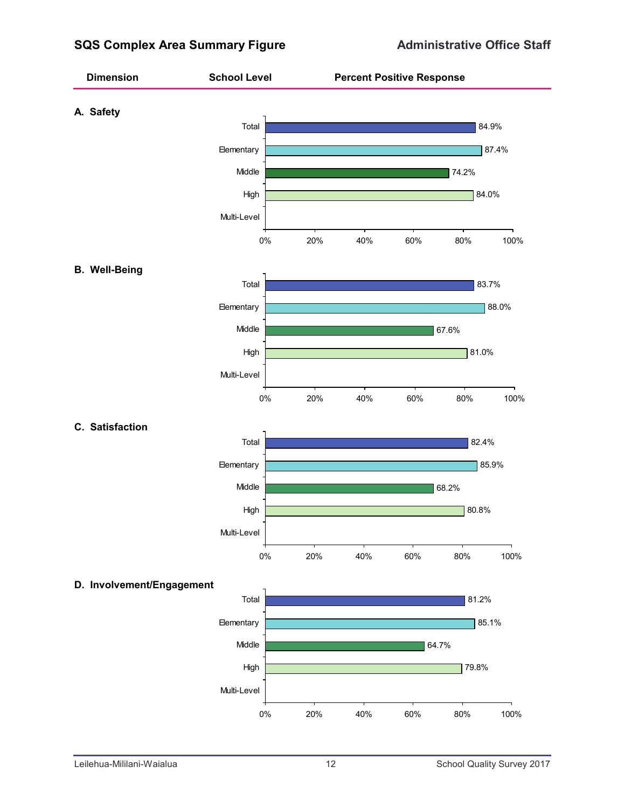## **SQS Complex Area Summary Figure Administrative Office Staff**

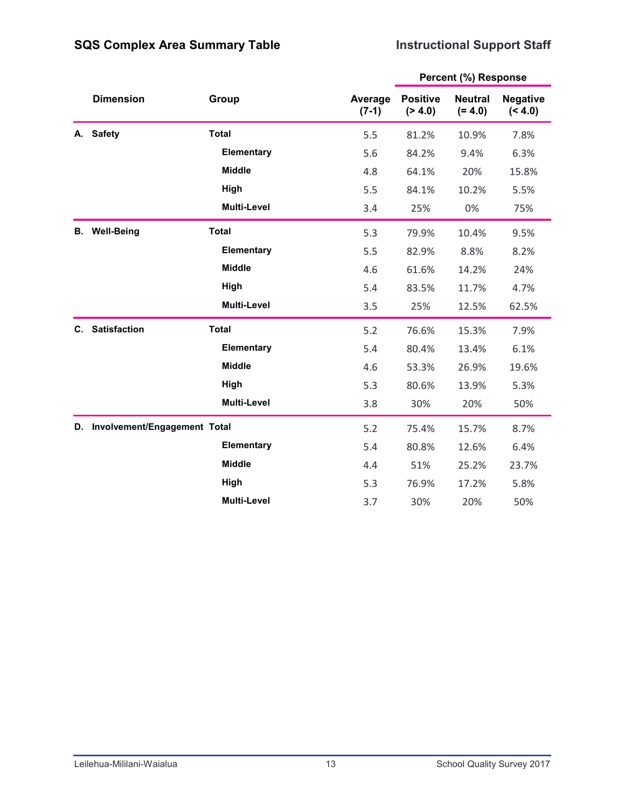## **Instructional Support Staff**

|    |                                 |                    |                    |                            | Percent (%) Response        |                            |  |
|----|---------------------------------|--------------------|--------------------|----------------------------|-----------------------------|----------------------------|--|
|    | <b>Dimension</b>                | Group              | Average<br>$(7-1)$ | <b>Positive</b><br>(> 4.0) | <b>Neutral</b><br>$(= 4.0)$ | <b>Negative</b><br>(< 4.0) |  |
| А. | <b>Safety</b>                   | <b>Total</b>       | 5.5                | 81.2%                      | 10.9%                       | 7.8%                       |  |
|    |                                 | Elementary         | 5.6                | 84.2%                      | 9.4%                        | 6.3%                       |  |
|    |                                 | <b>Middle</b>      | 4.8                | 64.1%                      | 20%                         | 15.8%                      |  |
|    |                                 | High               | 5.5                | 84.1%                      | 10.2%                       | 5.5%                       |  |
|    |                                 | Multi-Level        | 3.4                | 25%                        | 0%                          | 75%                        |  |
| В. | <b>Well-Being</b>               | <b>Total</b>       | 5.3                | 79.9%                      | 10.4%                       | 9.5%                       |  |
|    |                                 | Elementary         | 5.5                | 82.9%                      | 8.8%                        | 8.2%                       |  |
|    |                                 | <b>Middle</b>      | 4.6                | 61.6%                      | 14.2%                       | 24%                        |  |
|    |                                 | High               | 5.4                | 83.5%                      | 11.7%                       | 4.7%                       |  |
|    |                                 | <b>Multi-Level</b> | 3.5                | 25%                        | 12.5%                       | 62.5%                      |  |
| C. | <b>Satisfaction</b>             | <b>Total</b>       | 5.2                | 76.6%                      | 15.3%                       | 7.9%                       |  |
|    |                                 | Elementary         | 5.4                | 80.4%                      | 13.4%                       | 6.1%                       |  |
|    |                                 | <b>Middle</b>      | 4.6                | 53.3%                      | 26.9%                       | 19.6%                      |  |
|    |                                 | High               | 5.3                | 80.6%                      | 13.9%                       | 5.3%                       |  |
|    |                                 | <b>Multi-Level</b> | 3.8                | 30%                        | 20%                         | 50%                        |  |
|    | D. Involvement/Engagement Total |                    | 5.2                | 75.4%                      | 15.7%                       | 8.7%                       |  |
|    |                                 | Elementary         | 5.4                | 80.8%                      | 12.6%                       | 6.4%                       |  |
|    |                                 | <b>Middle</b>      | 4.4                | 51%                        | 25.2%                       | 23.7%                      |  |
|    |                                 | High               | 5.3                | 76.9%                      | 17.2%                       | 5.8%                       |  |
|    |                                 | <b>Multi-Level</b> | 3.7                | 30%                        | 20%                         | 50%                        |  |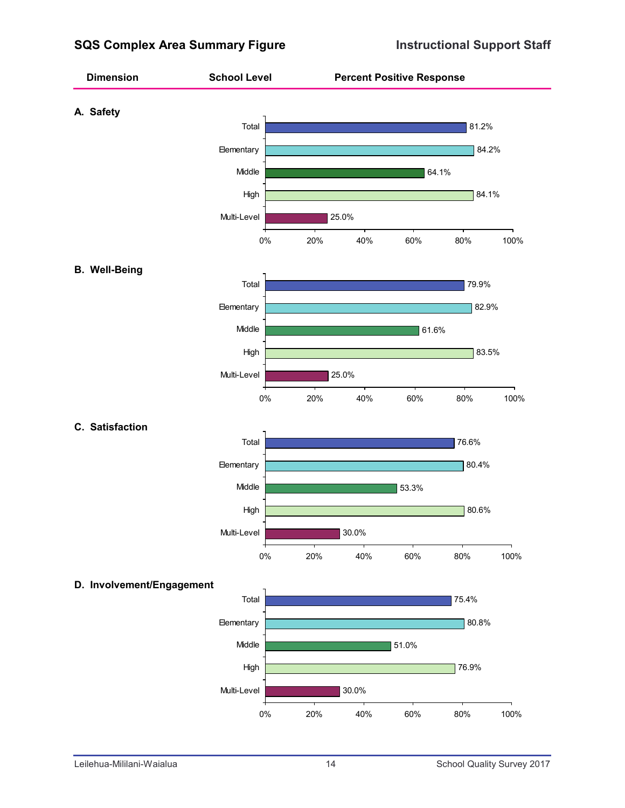## **SQS Complex Area Summary Figure Instructional Support Staff**

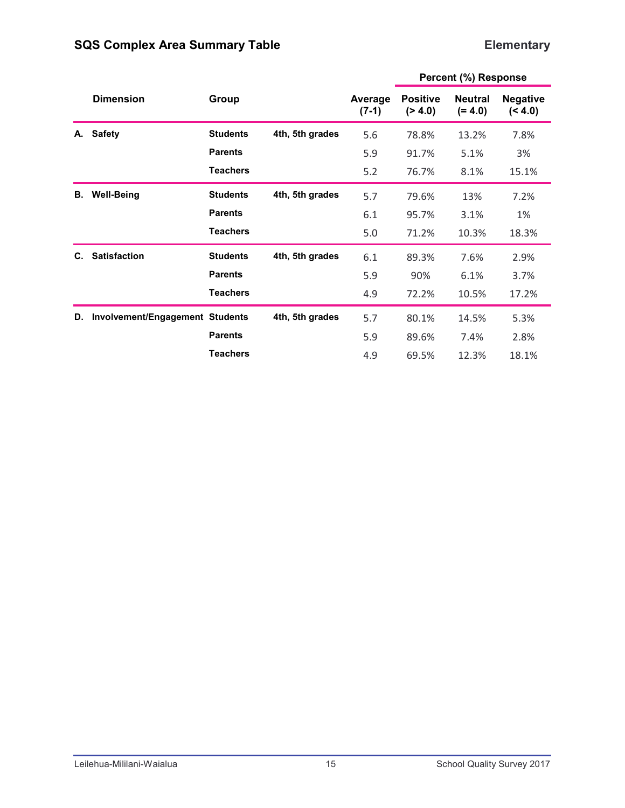## **Elementary**

|    |                                 |                 |                 |                    |                            | Percent (%) Response        |                            |
|----|---------------------------------|-----------------|-----------------|--------------------|----------------------------|-----------------------------|----------------------------|
|    | <b>Dimension</b>                | Group           |                 | Average<br>$(7-1)$ | <b>Positive</b><br>(> 4.0) | <b>Neutral</b><br>$(= 4.0)$ | <b>Negative</b><br>(< 4.0) |
| А. | <b>Safety</b>                   | <b>Students</b> | 4th, 5th grades | 5.6                | 78.8%                      | 13.2%                       | 7.8%                       |
|    |                                 | <b>Parents</b>  |                 | 5.9                | 91.7%                      | 5.1%                        | 3%                         |
|    |                                 | <b>Teachers</b> |                 | 5.2                | 76.7%                      | 8.1%                        | 15.1%                      |
| В. | <b>Well-Being</b>               | <b>Students</b> | 4th, 5th grades | 5.7                | 79.6%                      | 13%                         | 7.2%                       |
|    |                                 | <b>Parents</b>  |                 | 6.1                | 95.7%                      | 3.1%                        | 1%                         |
|    |                                 | <b>Teachers</b> |                 | 5.0                | 71.2%                      | 10.3%                       | 18.3%                      |
| C. | <b>Satisfaction</b>             | <b>Students</b> | 4th, 5th grades | 6.1                | 89.3%                      | 7.6%                        | 2.9%                       |
|    |                                 | <b>Parents</b>  |                 | 5.9                | 90%                        | 6.1%                        | 3.7%                       |
|    |                                 | <b>Teachers</b> |                 | 4.9                | 72.2%                      | 10.5%                       | 17.2%                      |
| D. | Involvement/Engagement Students |                 | 4th, 5th grades | 5.7                | 80.1%                      | 14.5%                       | 5.3%                       |
|    |                                 | <b>Parents</b>  |                 | 5.9                | 89.6%                      | 7.4%                        | 2.8%                       |
|    |                                 | <b>Teachers</b> |                 | 4.9                | 69.5%                      | 12.3%                       | 18.1%                      |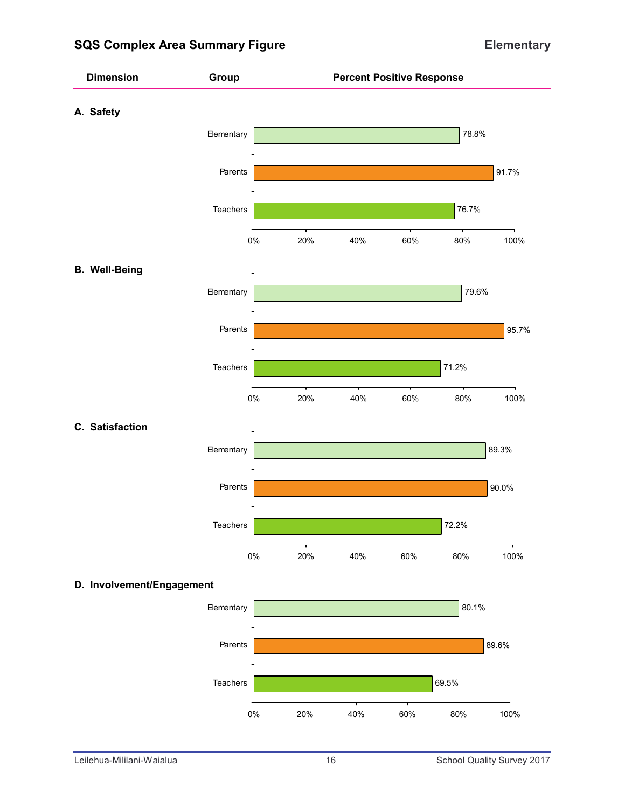## **SQS Complex Area Summary Figure Elementary**

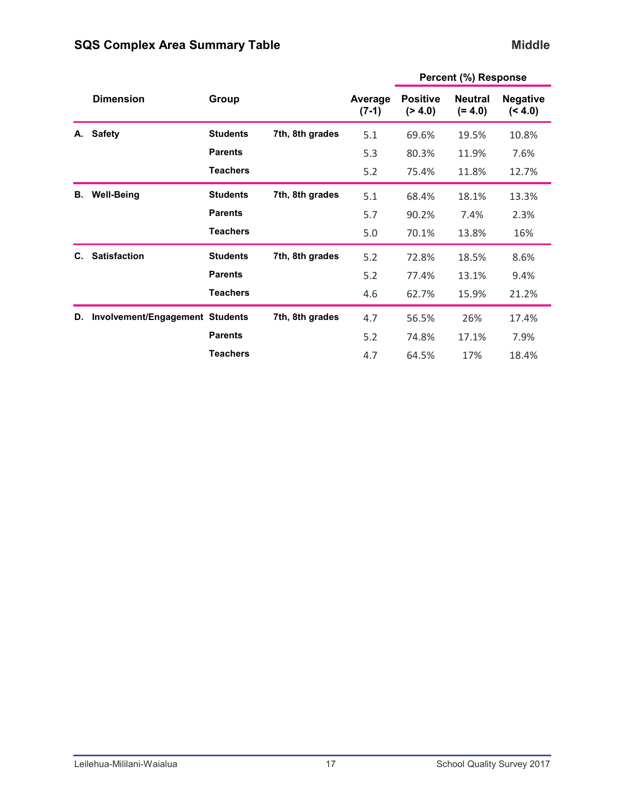## **Middle**

|    |                                 |                 |                 |                    |                            | Percent (%) Response        |                            |
|----|---------------------------------|-----------------|-----------------|--------------------|----------------------------|-----------------------------|----------------------------|
|    | <b>Dimension</b>                | Group           |                 | Average<br>$(7-1)$ | <b>Positive</b><br>(> 4.0) | <b>Neutral</b><br>$(= 4.0)$ | <b>Negative</b><br>(< 4.0) |
| А. | <b>Safety</b>                   | <b>Students</b> | 7th, 8th grades | 5.1                | 69.6%                      | 19.5%                       | 10.8%                      |
|    |                                 | <b>Parents</b>  |                 | 5.3                | 80.3%                      | 11.9%                       | 7.6%                       |
|    |                                 | <b>Teachers</b> |                 | 5.2                | 75.4%                      | 11.8%                       | 12.7%                      |
| В. | <b>Well-Being</b>               | <b>Students</b> | 7th, 8th grades | 5.1                | 68.4%                      | 18.1%                       | 13.3%                      |
|    |                                 | <b>Parents</b>  |                 | 5.7                | 90.2%                      | 7.4%                        | 2.3%                       |
|    |                                 | <b>Teachers</b> |                 | 5.0                | 70.1%                      | 13.8%                       | 16%                        |
| C. | <b>Satisfaction</b>             | <b>Students</b> | 7th, 8th grades | 5.2                | 72.8%                      | 18.5%                       | 8.6%                       |
|    |                                 | <b>Parents</b>  |                 | 5.2                | 77.4%                      | 13.1%                       | 9.4%                       |
|    |                                 | <b>Teachers</b> |                 | 4.6                | 62.7%                      | 15.9%                       | 21.2%                      |
| D. | Involvement/Engagement Students |                 | 7th, 8th grades | 4.7                | 56.5%                      | 26%                         | 17.4%                      |
|    |                                 | <b>Parents</b>  |                 | 5.2                | 74.8%                      | 17.1%                       | 7.9%                       |
|    |                                 | <b>Teachers</b> |                 | 4.7                | 64.5%                      | 17%                         | 18.4%                      |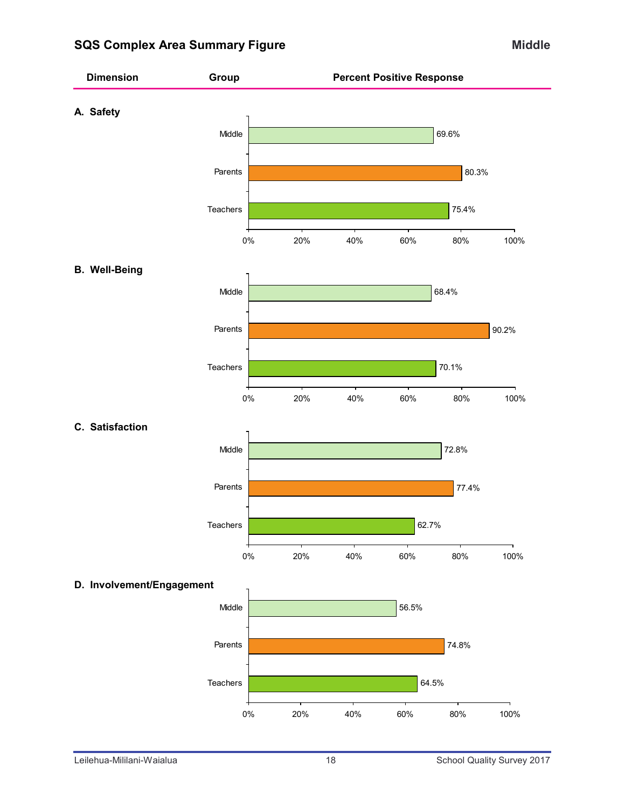## **SQS Complex Area Summary Figure Middle Middle Middle**

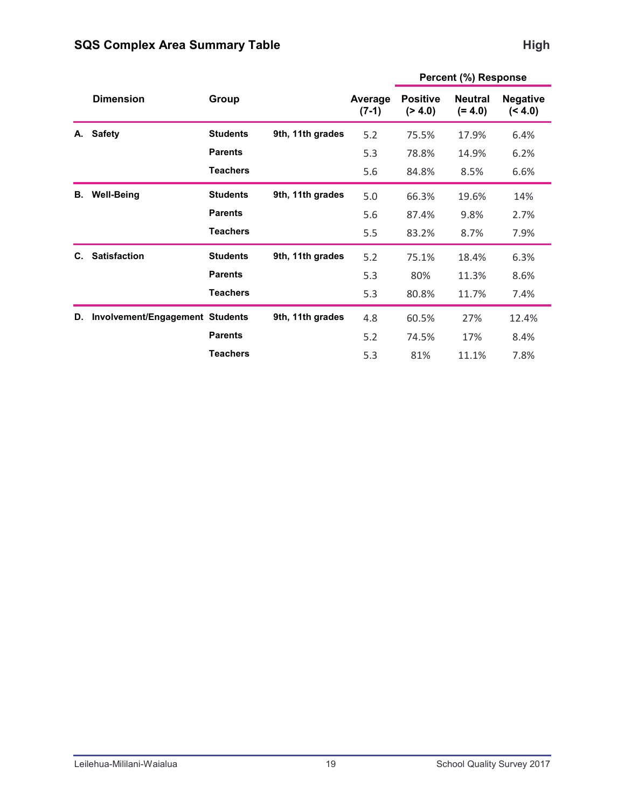#### **Average (7-1) Positive (> 4.0) Negative (< 4.0) Neutral (= 4.0) Dimension Group Percent (%) Response A. Safety Students 9th, 11th grades** 5.2 75.5% 17.9% 6.4% **Parents** 6.2% 5.3 78.8% 14.9% 6.2% **Teachers** 5.6 84.8% 8.5% 6.6% **B. Well-Being 6. Students 9th, 11th grades** 5.0 66.3% 19.6% 14% **Parents Example 12.7%** 5.6 87.4% 9.8% 2.7% **Teachers** 5.5 83.2% 8.7% 7.9% **C. Satisfaction 6.3% Students 9th, 11th grades** 5.2 75.1% 18.4% 6.3% **Parents 11.3%** 8.6% **Teachers** 5.3 80.8% 11.7% 7.4% **D.** Involvement/Engagement Students 9th, 11th grades  $4.8$  60.5% 27% 12.4% **Parents 17%** 8.4% **Teachers** 5.3 81% 11.1% 7.8%

#### **High**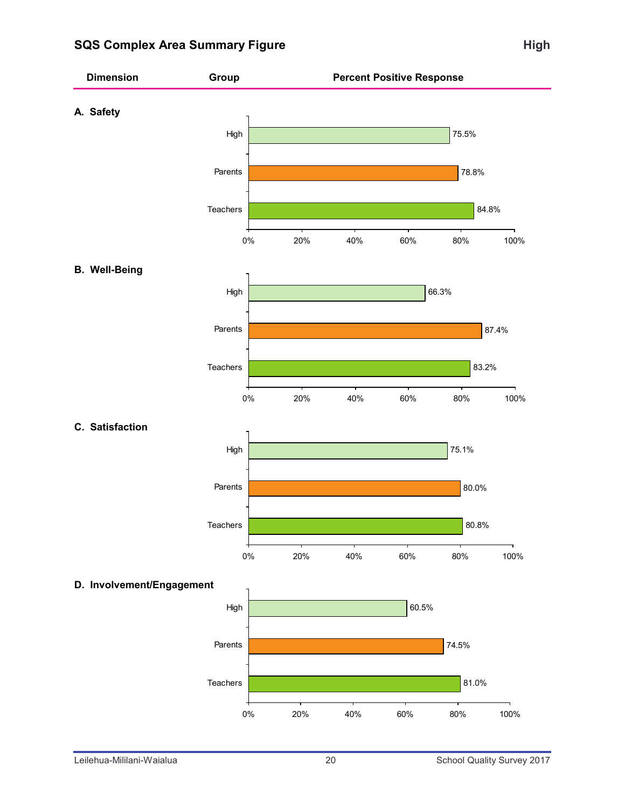## **SQS Complex Area Summary Figure High High**

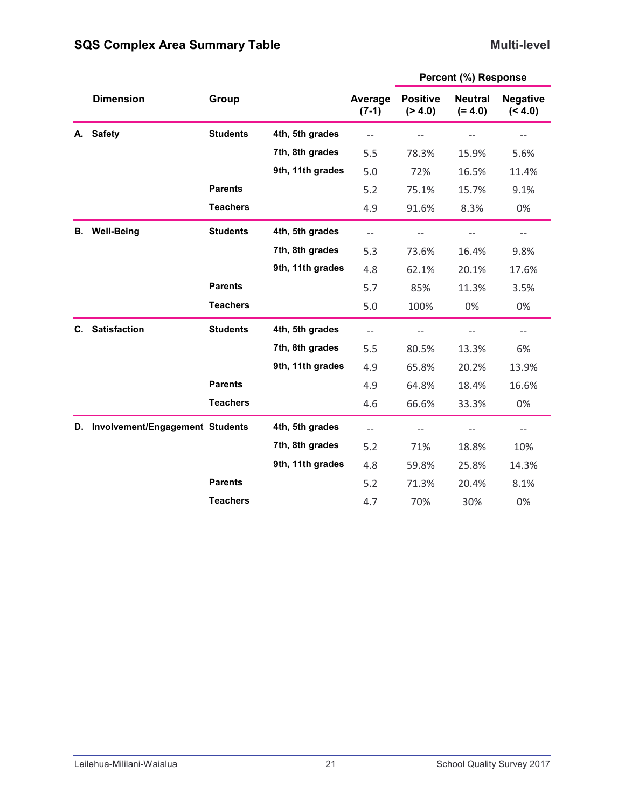#### **Multi-level**

|    | <b>Dimension</b>                | Group           |                  | Average<br>$(7-1)$       | <b>Positive</b><br>( > 4.0) | <b>Neutral</b><br>$(= 4.0)$ | <b>Negative</b><br>(< 4.0)         |
|----|---------------------------------|-----------------|------------------|--------------------------|-----------------------------|-----------------------------|------------------------------------|
| А. | <b>Safety</b>                   | <b>Students</b> | 4th, 5th grades  | $\overline{\phantom{m}}$ | $\qquad \qquad -$           | $-\,-$                      | $-\!$                              |
|    |                                 |                 | 7th, 8th grades  | 5.5                      | 78.3%                       | 15.9%                       | 5.6%                               |
|    |                                 |                 | 9th, 11th grades | 5.0                      | 72%                         | 16.5%                       | 11.4%                              |
|    |                                 | <b>Parents</b>  |                  | 5.2                      | 75.1%                       | 15.7%                       | 9.1%                               |
|    |                                 | <b>Teachers</b> |                  | 4.9                      | 91.6%                       | 8.3%                        | 0%                                 |
| В. | <b>Well-Being</b>               | <b>Students</b> | 4th, 5th grades  | $\overline{\phantom{a}}$ |                             |                             | $\overline{\phantom{m}}$           |
|    |                                 |                 | 7th, 8th grades  | 5.3                      | 73.6%                       | 16.4%                       | 9.8%                               |
|    |                                 |                 | 9th, 11th grades | 4.8                      | 62.1%                       | 20.1%                       | 17.6%                              |
|    |                                 | <b>Parents</b>  |                  | 5.7                      | 85%                         | 11.3%                       | 3.5%                               |
|    |                                 | <b>Teachers</b> |                  | 5.0                      | 100%                        | 0%                          | 0%                                 |
| C. | <b>Satisfaction</b>             | <b>Students</b> | 4th, 5th grades  | $\overline{\phantom{m}}$ |                             | $-$                         | $\hspace{0.05cm}--\hspace{0.05cm}$ |
|    |                                 |                 | 7th, 8th grades  | 5.5                      | 80.5%                       | 13.3%                       | 6%                                 |
|    |                                 |                 | 9th, 11th grades | 4.9                      | 65.8%                       | 20.2%                       | 13.9%                              |
|    |                                 | <b>Parents</b>  |                  | 4.9                      | 64.8%                       | 18.4%                       | 16.6%                              |
|    |                                 | <b>Teachers</b> |                  | 4.6                      | 66.6%                       | 33.3%                       | 0%                                 |
| D. | Involvement/Engagement Students |                 | 4th, 5th grades  | $-$                      | $-\,-$                      |                             | $-\!$                              |
|    |                                 |                 | 7th, 8th grades  | 5.2                      | 71%                         | 18.8%                       | 10%                                |
|    |                                 |                 | 9th, 11th grades | 4.8                      | 59.8%                       | 25.8%                       | 14.3%                              |
|    |                                 | <b>Parents</b>  |                  | 5.2                      | 71.3%                       | 20.4%                       | 8.1%                               |
|    |                                 | <b>Teachers</b> |                  | 4.7                      | 70%                         | 30%                         | 0%                                 |
|    |                                 |                 |                  |                          |                             |                             |                                    |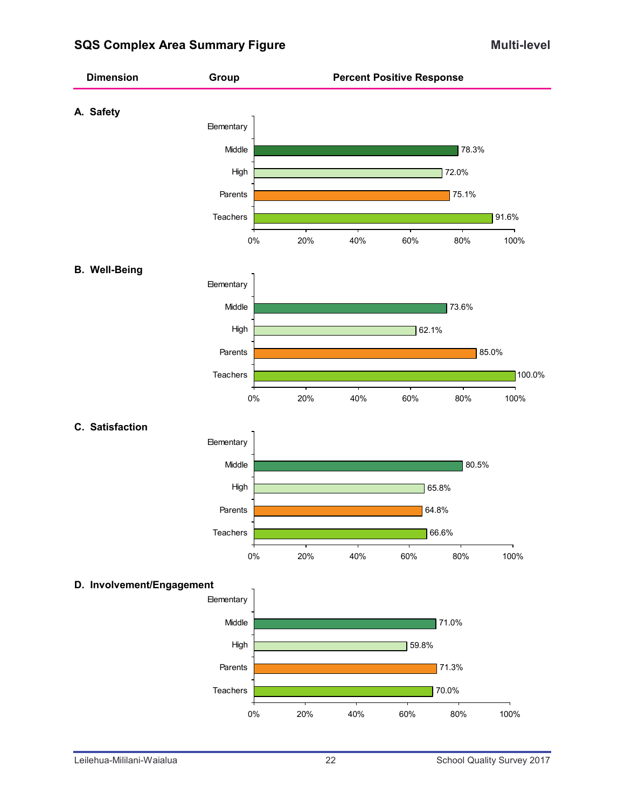## **SQS Complex Area Summary Figure Multi-level Multi-level**

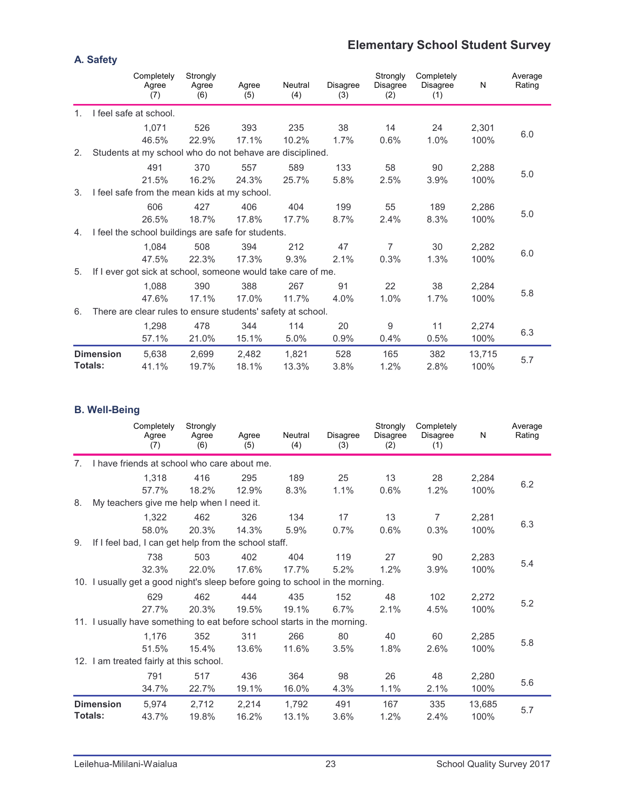## **Elementary School Student Survey**

|                |                  | Completely<br>Agree<br>(7)                                   | Strongly<br>Agree<br>(6) | Agree<br>(5) | Neutral<br>(4) | <b>Disagree</b><br>(3) | Strongly<br>Disagree<br>(2) | Completely<br><b>Disagree</b><br>(1) | N      | Average<br>Rating |
|----------------|------------------|--------------------------------------------------------------|--------------------------|--------------|----------------|------------------------|-----------------------------|--------------------------------------|--------|-------------------|
| 1 <sub>1</sub> |                  | I feel safe at school.                                       |                          |              |                |                        |                             |                                      |        |                   |
|                |                  | 1,071                                                        | 526                      | 393          | 235            | 38                     | 14                          | 24                                   | 2,301  |                   |
|                |                  | 46.5%                                                        | 22.9%                    | 17.1%        | 10.2%          | 1.7%                   | 0.6%                        | 1.0%                                 | 100%   | 6.0               |
| 2.             |                  | Students at my school who do not behave are disciplined.     |                          |              |                |                        |                             |                                      |        |                   |
|                |                  | 491                                                          | 370                      | 557          | 589            | 133                    | 58                          | 90                                   | 2,288  |                   |
|                |                  | 21.5%                                                        | 16.2%                    | 24.3%        | 25.7%          | 5.8%                   | 2.5%                        | 3.9%                                 | 100%   | 5.0               |
| 3.             |                  | I feel safe from the mean kids at my school.                 |                          |              |                |                        |                             |                                      |        |                   |
|                |                  | 606                                                          | 427                      | 406          | 404            | 199                    | 55                          | 189                                  | 2,286  |                   |
|                |                  | 26.5%                                                        | 18.7%                    | 17.8%        | 17.7%          | 8.7%                   | 2.4%                        | 8.3%                                 | 100%   | 5.0               |
| 4.             |                  | I feel the school buildings are safe for students.           |                          |              |                |                        |                             |                                      |        |                   |
|                |                  | 1.084                                                        | 508                      | 394          | 212            | 47                     | $\overline{7}$              | 30                                   | 2,282  |                   |
|                |                  | 47.5%                                                        | 22.3%                    | 17.3%        | 9.3%           | 2.1%                   | 0.3%                        | 1.3%                                 | 100%   | 6.0               |
| 5.             |                  | If I ever got sick at school, someone would take care of me. |                          |              |                |                        |                             |                                      |        |                   |
|                |                  | 1,088                                                        | 390                      | 388          | 267            | 91                     | 22                          | 38                                   | 2,284  |                   |
|                |                  | 47.6%                                                        | 17.1%                    | 17.0%        | 11.7%          | 4.0%                   | 1.0%                        | 1.7%                                 | 100%   | 5.8               |
| 6.             |                  | There are clear rules to ensure students' safety at school.  |                          |              |                |                        |                             |                                      |        |                   |
|                |                  | 1,298                                                        | 478                      | 344          | 114            | 20                     | 9                           | 11                                   | 2,274  |                   |
|                |                  | 57.1%                                                        | 21.0%                    | 15.1%        | 5.0%           | 0.9%                   | 0.4%                        | 0.5%                                 | 100%   | 6.3               |
|                | <b>Dimension</b> | 5,638                                                        | 2,699                    | 2,482        | 1,821          | 528                    | 165                         | 382                                  | 13,715 |                   |
|                | Totals:          | 41.1%                                                        | 19.7%                    | 18.1%        | 13.3%          | 3.8%                   | 1.2%                        | 2.8%                                 | 100%   | 5.7               |

#### **B. Well-Being**

|                |                  | Completely<br>Agree<br>(7)                                                    | Strongly<br>Agree<br>(6) | Agree<br>(5) | Neutral<br>(4) | <b>Disagree</b><br>(3) | Strongly<br><b>Disagree</b><br>(2) | Completely<br>Disagree<br>(1) | N      | Average<br>Rating |
|----------------|------------------|-------------------------------------------------------------------------------|--------------------------|--------------|----------------|------------------------|------------------------------------|-------------------------------|--------|-------------------|
| 7.             |                  | I have friends at school who care about me.                                   |                          |              |                |                        |                                    |                               |        |                   |
|                |                  | 1,318                                                                         | 416                      | 295          | 189            | 25                     | 13                                 | 28                            | 2,284  |                   |
|                |                  | 57.7%                                                                         | 18.2%                    | 12.9%        | 8.3%           | 1.1%                   | 0.6%                               | 1.2%                          | 100%   | 6.2               |
| 8.             |                  | My teachers give me help when I need it.                                      |                          |              |                |                        |                                    |                               |        |                   |
|                |                  | 1,322                                                                         | 462                      | 326          | 134            | 17                     | 13                                 | $\overline{7}$                | 2,281  |                   |
|                |                  | 58.0%                                                                         | 20.3%                    | 14.3%        | 5.9%           | 0.7%                   | 0.6%                               | 0.3%                          | 100%   | 6.3               |
| 9.             |                  | If I feel bad, I can get help from the school staff.                          |                          |              |                |                        |                                    |                               |        |                   |
|                |                  | 738                                                                           | 503                      | 402          | 404            | 119                    | 27                                 | 90                            | 2,283  |                   |
|                |                  | 32.3%                                                                         | 22.0%                    | 17.6%        | 17.7%          | 5.2%                   | 1.2%                               | 3.9%                          | 100%   | 5.4               |
|                |                  | 10. I usually get a good night's sleep before going to school in the morning. |                          |              |                |                        |                                    |                               |        |                   |
|                |                  | 629                                                                           | 462                      | 444          | 435            | 152                    | 48                                 | 102                           | 2,272  |                   |
|                |                  | 27.7%                                                                         | 20.3%                    | 19.5%        | 19.1%          | 6.7%                   | 2.1%                               | 4.5%                          | 100%   | 5.2               |
|                |                  | 11. I usually have something to eat before school starts in the morning.      |                          |              |                |                        |                                    |                               |        |                   |
|                |                  | 1,176                                                                         | 352                      | 311          | 266            | 80                     | 40                                 | 60                            | 2,285  |                   |
|                |                  | 51.5%                                                                         | 15.4%                    | 13.6%        | 11.6%          | 3.5%                   | 1.8%                               | 2.6%                          | 100%   | 5.8               |
|                |                  | 12. I am treated fairly at this school.                                       |                          |              |                |                        |                                    |                               |        |                   |
|                |                  | 791                                                                           | 517                      | 436          | 364            | 98                     | 26                                 | 48                            | 2,280  |                   |
|                |                  | 34.7%                                                                         | 22.7%                    | 19.1%        | 16.0%          | 4.3%                   | 1.1%                               | 2.1%                          | 100%   | 5.6               |
|                | <b>Dimension</b> | 5,974                                                                         | 2,712                    | 2,214        | 1,792          | 491                    | 167                                | 335                           | 13,685 |                   |
| <b>Totals:</b> |                  | 43.7%                                                                         | 19.8%                    | 16.2%        | 13.1%          | 3.6%                   | 1.2%                               | 2.4%                          | 100%   | 5.7               |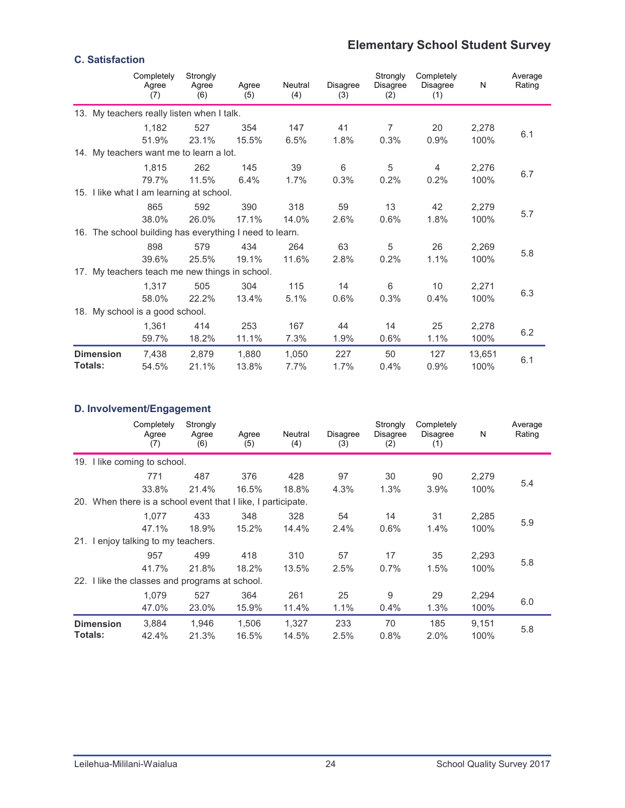## **Elementary School Student Survey**

| <b>C. Satisfaction</b>      |                                                         |                          |                |                |                        |                             |                                      |                |                   |
|-----------------------------|---------------------------------------------------------|--------------------------|----------------|----------------|------------------------|-----------------------------|--------------------------------------|----------------|-------------------|
|                             | Completely<br>Agree<br>(7)                              | Strongly<br>Agree<br>(6) | Agree<br>(5)   | Neutral<br>(4) | <b>Disagree</b><br>(3) | Strongly<br>Disagree<br>(2) | Completely<br><b>Disagree</b><br>(1) | N              | Average<br>Rating |
|                             | 13. My teachers really listen when I talk.              |                          |                |                |                        |                             |                                      |                |                   |
|                             | 1.182<br>51.9%                                          | 527<br>23.1%             | 354<br>15.5%   | 147<br>6.5%    | 41<br>1.8%             | $\overline{7}$<br>0.3%      | 20<br>0.9%                           | 2,278<br>100%  | 6.1               |
|                             | 14. My teachers want me to learn a lot.                 |                          |                |                |                        |                             |                                      |                |                   |
|                             | 1.815<br>79.7%                                          | 262<br>11.5%             | 145<br>6.4%    | 39<br>1.7%     | 6<br>0.3%              | 5<br>0.2%                   | $\overline{4}$<br>0.2%               | 2,276<br>100%  | 6.7               |
|                             | 15. I like what I am learning at school.                |                          |                |                |                        |                             |                                      |                |                   |
|                             | 865<br>38.0%                                            | 592<br>26.0%             | 390<br>17.1%   | 318<br>14.0%   | 59<br>2.6%             | 13<br>0.6%                  | 42<br>1.8%                           | 2,279<br>100%  | 5.7               |
|                             | 16. The school building has everything I need to learn. |                          |                |                |                        |                             |                                      |                |                   |
|                             | 898<br>39.6%                                            | 579<br>25.5%             | 434<br>19.1%   | 264<br>11.6%   | 63<br>2.8%             | 5<br>0.2%                   | 26<br>1.1%                           | 2,269<br>100%  | 5.8               |
|                             | 17. My teachers teach me new things in school.          |                          |                |                |                        |                             |                                      |                |                   |
|                             | 1.317<br>58.0%                                          | 505<br>22.2%             | 304<br>13.4%   | 115<br>5.1%    | 14<br>0.6%             | 6<br>0.3%                   | 10<br>0.4%                           | 2,271<br>100%  | 6.3               |
|                             | 18. My school is a good school.                         |                          |                |                |                        |                             |                                      |                |                   |
|                             | 1,361<br>59.7%                                          | 414<br>18.2%             | 253<br>11.1%   | 167<br>7.3%    | 44<br>1.9%             | 14<br>0.6%                  | 25<br>1.1%                           | 2,278<br>100%  | 6.2               |
| <b>Dimension</b><br>Totals: | 7,438<br>54.5%                                          | 2,879<br>21.1%           | 1.880<br>13.8% | 1,050<br>7.7%  | 227<br>1.7%            | 50<br>0.4%                  | 127<br>0.9%                          | 13,651<br>100% | 6.1               |

#### **D. Involvement/Engagement**

|                                                              | Completely<br>Agree<br>(7) | Strongly<br>Agree<br>(6) | Agree<br>(5) | Neutral<br>(4) | <b>Disagree</b><br>(3) | Strongly<br>Disagree<br>(2) | Completely<br><b>Disagree</b><br>(1) | N     | Average<br>Rating |
|--------------------------------------------------------------|----------------------------|--------------------------|--------------|----------------|------------------------|-----------------------------|--------------------------------------|-------|-------------------|
| 19. I like coming to school.                                 |                            |                          |              |                |                        |                             |                                      |       |                   |
|                                                              | 771                        | 487                      | 376          | 428            | 97                     | 30                          | 90                                   | 2,279 |                   |
|                                                              | 33.8%                      | 21.4%                    | 16.5%        | 18.8%          | 4.3%                   | 1.3%                        | 3.9%                                 | 100%  | 5.4               |
| 20. When there is a school event that I like, I participate. |                            |                          |              |                |                        |                             |                                      |       |                   |
|                                                              | 1.077                      | 433                      | 348          | 328            | 54                     | 14                          | 31                                   | 2,285 |                   |
|                                                              | 47.1%                      | 18.9%                    | 15.2%        | 14.4%          | 2.4%                   | 0.6%                        | 1.4%                                 | 100%  | 5.9               |
| 21. I enjoy talking to my teachers.                          |                            |                          |              |                |                        |                             |                                      |       |                   |
|                                                              | 957                        | 499                      | 418          | 310            | 57                     | 17                          | 35                                   | 2,293 |                   |
|                                                              | 41.7%                      | 21.8%                    | 18.2%        | 13.5%          | 2.5%                   | 0.7%                        | 1.5%                                 | 100%  | 5.8               |
| 22. I like the classes and programs at school.               |                            |                          |              |                |                        |                             |                                      |       |                   |
|                                                              | 1,079                      | 527                      | 364          | 261            | 25                     | 9                           | 29                                   | 2,294 |                   |
|                                                              | 47.0%                      | 23.0%                    | 15.9%        | 11.4%          | 1.1%                   | 0.4%                        | 1.3%                                 | 100%  | 6.0               |
| <b>Dimension</b>                                             | 3,884                      | 1,946                    | 1,506        | 1,327          | 233                    | 70                          | 185                                  | 9,151 |                   |
| <b>Totals:</b>                                               | 42.4%                      | 21.3%                    | 16.5%        | 14.5%          | 2.5%                   | 0.8%                        | 2.0%                                 | 100%  | 5.8               |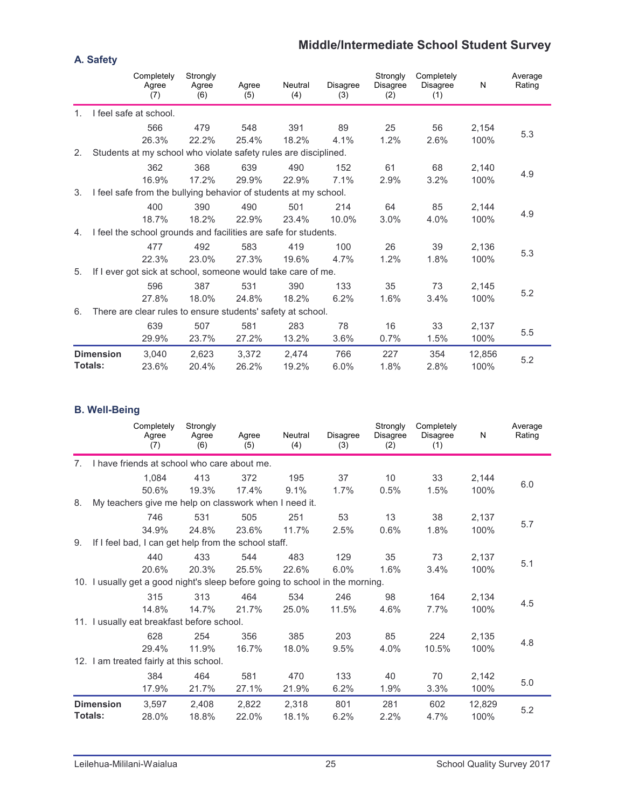## **Middle/Intermediate School Student Survey**

|                |                  | Completely<br>Agree<br>(7)                                       | Strongly<br>Agree<br>(6) | Agree<br>(5) | Neutral<br>(4) | Disagree<br>(3) | Strongly<br>Disagree<br>(2) | Completely<br><b>Disagree</b><br>(1) | N      | Average<br>Rating |
|----------------|------------------|------------------------------------------------------------------|--------------------------|--------------|----------------|-----------------|-----------------------------|--------------------------------------|--------|-------------------|
| 1 <sub>1</sub> |                  | I feel safe at school.                                           |                          |              |                |                 |                             |                                      |        |                   |
|                |                  | 566                                                              | 479                      | 548          | 391            | 89              | 25                          | 56                                   | 2,154  |                   |
|                |                  | 26.3%                                                            | 22.2%                    | 25.4%        | 18.2%          | 4.1%            | 1.2%                        | 2.6%                                 | 100%   | 5.3               |
| 2.             |                  | Students at my school who violate safety rules are disciplined.  |                          |              |                |                 |                             |                                      |        |                   |
|                |                  | 362                                                              | 368                      | 639          | 490            | 152             | 61                          | 68                                   | 2,140  |                   |
|                |                  | 16.9%                                                            | 17.2%                    | 29.9%        | 22.9%          | 7.1%            | 2.9%                        | 3.2%                                 | 100%   | 4.9               |
| 3.             |                  | I feel safe from the bullying behavior of students at my school. |                          |              |                |                 |                             |                                      |        |                   |
|                |                  | 400                                                              | 390                      | 490          | 501            | 214             | 64                          | 85                                   | 2,144  |                   |
|                |                  | 18.7%                                                            | 18.2%                    | 22.9%        | 23.4%          | 10.0%           | 3.0%                        | 4.0%                                 | 100%   | 4.9               |
| 4.             |                  | I feel the school grounds and facilities are safe for students.  |                          |              |                |                 |                             |                                      |        |                   |
|                |                  | 477                                                              | 492                      | 583          | 419            | 100             | 26                          | 39                                   | 2,136  |                   |
|                |                  | 22.3%                                                            | 23.0%                    | 27.3%        | 19.6%          | 4.7%            | 1.2%                        | 1.8%                                 | 100%   | 5.3               |
| 5.             |                  | If I ever got sick at school, someone would take care of me.     |                          |              |                |                 |                             |                                      |        |                   |
|                |                  | 596                                                              | 387                      | 531          | 390            | 133             | 35                          | 73                                   | 2,145  |                   |
|                |                  | 27.8%                                                            | 18.0%                    | 24.8%        | 18.2%          | 6.2%            | 1.6%                        | 3.4%                                 | 100%   | 5.2               |
| 6.             |                  | There are clear rules to ensure students' safety at school.      |                          |              |                |                 |                             |                                      |        |                   |
|                |                  | 639                                                              | 507                      | 581          | 283            | 78              | 16                          | 33                                   | 2,137  |                   |
|                |                  | 29.9%                                                            | 23.7%                    | 27.2%        | 13.2%          | 3.6%            | 0.7%                        | 1.5%                                 | 100%   | 5.5               |
|                | <b>Dimension</b> | 3,040                                                            | 2,623                    | 3,372        | 2,474          | 766             | 227                         | 354                                  | 12,856 |                   |
|                | Totals:          | 23.6%                                                            | 20.4%                    | 26.2%        | 19.2%          | 6.0%            | 1.8%                        | 2.8%                                 | 100%   | 5.2               |

#### **B. Well-Being**

|                |                  | Completely<br>Agree<br>(7)                                                    | Strongly<br>Agree<br>(6) | Agree<br>(5) | Neutral<br>(4) | <b>Disagree</b><br>(3) | Strongly<br><b>Disagree</b><br>(2) | Completely<br><b>Disagree</b><br>(1) | N      | Average<br>Rating |
|----------------|------------------|-------------------------------------------------------------------------------|--------------------------|--------------|----------------|------------------------|------------------------------------|--------------------------------------|--------|-------------------|
| 7 <sub>1</sub> |                  | I have friends at school who care about me.                                   |                          |              |                |                        |                                    |                                      |        |                   |
|                |                  | 1,084                                                                         | 413                      | 372          | 195            | 37                     | 10                                 | 33                                   | 2,144  |                   |
|                |                  | 50.6%                                                                         | 19.3%                    | 17.4%        | 9.1%           | 1.7%                   | 0.5%                               | 1.5%                                 | 100%   | 6.0               |
| 8.             |                  | My teachers give me help on classwork when I need it.                         |                          |              |                |                        |                                    |                                      |        |                   |
|                |                  | 746                                                                           | 531                      | 505          | 251            | 53                     | 13                                 | 38                                   | 2,137  |                   |
|                |                  | 34.9%                                                                         | 24.8%                    | 23.6%        | 11.7%          | 2.5%                   | 0.6%                               | 1.8%                                 | 100%   | 5.7               |
| 9.             |                  | If I feel bad, I can get help from the school staff.                          |                          |              |                |                        |                                    |                                      |        |                   |
|                |                  | 440                                                                           | 433                      | 544          | 483            | 129                    | 35                                 | 73                                   | 2,137  |                   |
|                |                  | 20.6%                                                                         | 20.3%                    | 25.5%        | 22.6%          | 6.0%                   | 1.6%                               | 3.4%                                 | 100%   | 5.1               |
|                |                  | 10. I usually get a good night's sleep before going to school in the morning. |                          |              |                |                        |                                    |                                      |        |                   |
|                |                  | 315                                                                           | 313                      | 464          | 534            | 246                    | 98                                 | 164                                  | 2,134  |                   |
|                |                  | 14.8%                                                                         | 14.7%                    | 21.7%        | 25.0%          | 11.5%                  | 4.6%                               | 7.7%                                 | 100%   | 4.5               |
|                |                  | 11. I usually eat breakfast before school.                                    |                          |              |                |                        |                                    |                                      |        |                   |
|                |                  | 628                                                                           | 254                      | 356          | 385            | 203                    | 85                                 | 224                                  | 2,135  |                   |
|                |                  | 29.4%                                                                         | 11.9%                    | 16.7%        | 18.0%          | 9.5%                   | 4.0%                               | 10.5%                                | 100%   | 4.8               |
|                |                  | 12. I am treated fairly at this school.                                       |                          |              |                |                        |                                    |                                      |        |                   |
|                |                  | 384                                                                           | 464                      | 581          | 470            | 133                    | 40                                 | 70                                   | 2,142  |                   |
|                |                  | 17.9%                                                                         | 21.7%                    | 27.1%        | 21.9%          | 6.2%                   | 1.9%                               | 3.3%                                 | 100%   | 5.0               |
|                | <b>Dimension</b> | 3,597                                                                         | 2,408                    | 2,822        | 2,318          | 801                    | 281                                | 602                                  | 12,829 |                   |
|                | <b>Totals:</b>   | 28.0%                                                                         | 18.8%                    | 22.0%        | 18.1%          | 6.2%                   | 2.2%                               | 4.7%                                 | 100%   | 5.2               |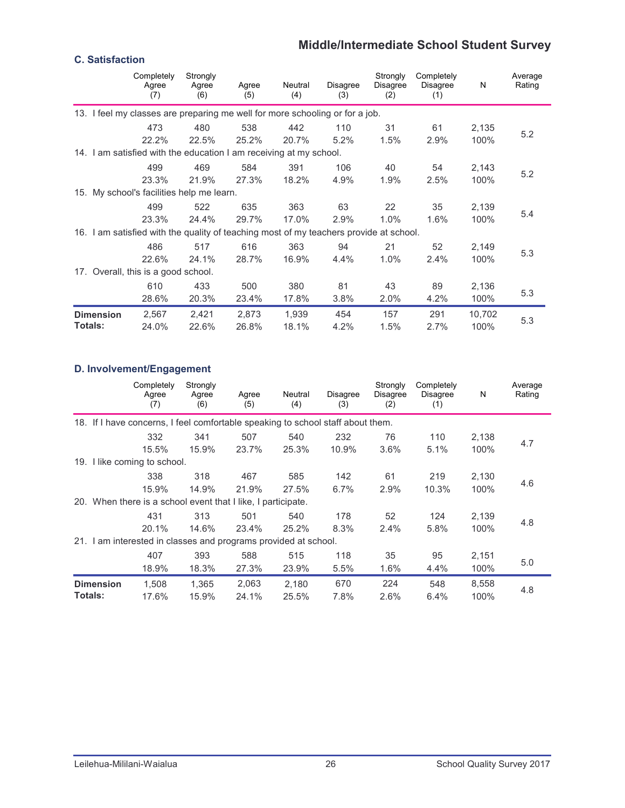## **Middle/Intermediate School Student Survey**

#### **C. Satisfaction**

|                  | Completely<br>Agree<br>(7)                                                             | Strongly<br>Agree<br>(6) | Agree<br>(5) | Neutral<br>(4) | <b>Disagree</b><br>(3) | Strongly<br><b>Disagree</b><br>(2) | Completely<br>Disagree<br>(1) | N      | Average<br>Rating |
|------------------|----------------------------------------------------------------------------------------|--------------------------|--------------|----------------|------------------------|------------------------------------|-------------------------------|--------|-------------------|
|                  | 13. I feel my classes are preparing me well for more schooling or for a job.           |                          |              |                |                        |                                    |                               |        |                   |
|                  | 473                                                                                    | 480                      | 538          | 442            | 110                    | 31                                 | 61                            | 2,135  | 5.2               |
|                  | 22.2%                                                                                  | 22.5%                    | 25.2%        | 20.7%          | 5.2%                   | 1.5%                               | 2.9%                          | 100%   |                   |
|                  | 14. I am satisfied with the education I am receiving at my school.                     |                          |              |                |                        |                                    |                               |        |                   |
|                  | 499                                                                                    | 469                      | 584          | 391            | 106                    | 40                                 | 54                            | 2,143  |                   |
|                  | 23.3%                                                                                  | 21.9%                    | 27.3%        | 18.2%          | 4.9%                   | 1.9%                               | 2.5%                          | 100%   | 5.2               |
|                  | 15. My school's facilities help me learn.                                              |                          |              |                |                        |                                    |                               |        |                   |
|                  | 499                                                                                    | 522                      | 635          | 363            | 63                     | 22                                 | 35                            | 2,139  |                   |
|                  | 23.3%                                                                                  | 24.4%                    | 29.7%        | 17.0%          | 2.9%                   | 1.0%                               | 1.6%                          | 100%   | 5.4               |
|                  | 16. I am satisfied with the quality of teaching most of my teachers provide at school. |                          |              |                |                        |                                    |                               |        |                   |
|                  | 486                                                                                    | 517                      | 616          | 363            | 94                     | 21                                 | 52                            | 2,149  |                   |
|                  | 22.6%                                                                                  | 24.1%                    | 28.7%        | 16.9%          | 4.4%                   | 1.0%                               | 2.4%                          | 100%   | 5.3               |
|                  | 17. Overall, this is a good school.                                                    |                          |              |                |                        |                                    |                               |        |                   |
|                  | 610                                                                                    | 433                      | 500          | 380            | 81                     | 43                                 | 89                            | 2,136  |                   |
|                  | 28.6%                                                                                  | 20.3%                    | 23.4%        | 17.8%          | 3.8%                   | 2.0%                               | 4.2%                          | 100%   | 5.3               |
| <b>Dimension</b> | 2,567                                                                                  | 2,421                    | 2,873        | 1.939          | 454                    | 157                                | 291                           | 10,702 | 5.3               |
| <b>Totals:</b>   | 24.0%                                                                                  | 22.6%                    | 26.8%        | 18.1%          | 4.2%                   | 1.5%                               | 2.7%                          | 100%   |                   |

## **D. Involvement/Engagement**

|                |                  | Completely<br>Agree<br>(7)                                                      | Strongly<br>Agree<br>(6) | Agree<br>(5) | Neutral<br>(4) | <b>Disagree</b><br>(3) | Strongly<br>Disagree<br>(2) | Completely<br>Disagree<br>(1) | N     | Average<br>Rating |
|----------------|------------------|---------------------------------------------------------------------------------|--------------------------|--------------|----------------|------------------------|-----------------------------|-------------------------------|-------|-------------------|
|                |                  | 18. If I have concerns, I feel comfortable speaking to school staff about them. |                          |              |                |                        |                             |                               |       |                   |
|                |                  | 332                                                                             | 341                      | 507          | 540            | 232                    | 76                          | 110                           | 2,138 |                   |
|                |                  | 15.5%                                                                           | 15.9%                    | 23.7%        | 25.3%          | 10.9%                  | 3.6%                        | 5.1%                          | 100%  | 4.7               |
|                |                  | 19. I like coming to school.                                                    |                          |              |                |                        |                             |                               |       |                   |
|                |                  | 338                                                                             | 318                      | 467          | 585            | 142                    | 61                          | 219                           | 2,130 |                   |
|                |                  | 15.9%                                                                           | 14.9%                    | 21.9%        | 27.5%          | 6.7%                   | 2.9%                        | 10.3%                         | 100%  | 4.6               |
|                |                  | 20. When there is a school event that I like, I participate.                    |                          |              |                |                        |                             |                               |       |                   |
|                |                  | 431                                                                             | 313                      | 501          | 540            | 178                    | 52                          | 124                           | 2,139 |                   |
|                |                  | 20.1%                                                                           | 14.6%                    | 23.4%        | 25.2%          | 8.3%                   | 2.4%                        | 5.8%                          | 100%  | 4.8               |
|                |                  | 21. I am interested in classes and programs provided at school.                 |                          |              |                |                        |                             |                               |       |                   |
|                |                  | 407                                                                             | 393                      | 588          | 515            | 118                    | 35                          | 95                            | 2,151 |                   |
|                |                  | 18.9%                                                                           | 18.3%                    | 27.3%        | 23.9%          | 5.5%                   | 1.6%                        | 4.4%                          | 100%  | 5.0               |
|                | <b>Dimension</b> | 1,508                                                                           | 1,365                    | 2,063        | 2,180          | 670                    | 224                         | 548                           | 8,558 | 4.8               |
| <b>Totals:</b> |                  | 17.6%                                                                           | 15.9%                    | 24.1%        | 25.5%          | 7.8%                   | 2.6%                        | 6.4%                          | 100%  |                   |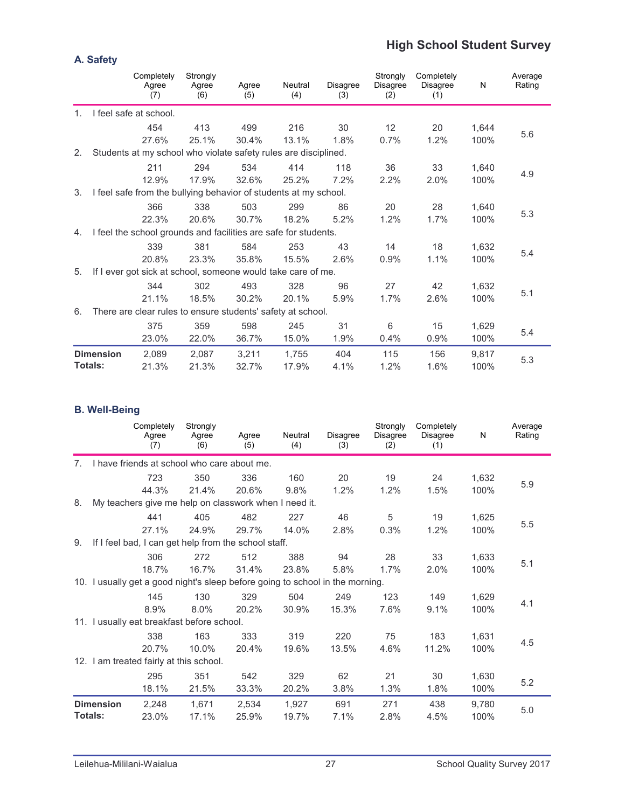## **High School Student Survey**

|                |                  | Completely<br>Agree<br>(7)                                       | Strongly<br>Agree<br>(6) | Agree<br>(5) | Neutral<br>(4) | <b>Disagree</b><br>(3) | Strongly<br>Disagree<br>(2) | Completely<br><b>Disagree</b><br>(1) | N     | Average<br>Rating |
|----------------|------------------|------------------------------------------------------------------|--------------------------|--------------|----------------|------------------------|-----------------------------|--------------------------------------|-------|-------------------|
| 1 <sub>1</sub> |                  | I feel safe at school.                                           |                          |              |                |                        |                             |                                      |       |                   |
|                |                  | 454                                                              | 413                      | 499          | 216            | 30                     | 12                          | 20                                   | 1,644 |                   |
|                |                  | 27.6%                                                            | 25.1%                    | 30.4%        | 13.1%          | 1.8%                   | 0.7%                        | 1.2%                                 | 100%  | 5.6               |
| 2.             |                  | Students at my school who violate safety rules are disciplined.  |                          |              |                |                        |                             |                                      |       |                   |
|                |                  | 211                                                              | 294                      | 534          | 414            | 118                    | 36                          | 33                                   | 1,640 |                   |
|                |                  | 12.9%                                                            | 17.9%                    | 32.6%        | 25.2%          | 7.2%                   | 2.2%                        | 2.0%                                 | 100%  | 4.9               |
| 3.             |                  | I feel safe from the bullying behavior of students at my school. |                          |              |                |                        |                             |                                      |       |                   |
|                |                  | 366                                                              | 338                      | 503          | 299            | 86                     | 20                          | 28                                   | 1,640 |                   |
|                |                  | 22.3%                                                            | 20.6%                    | 30.7%        | 18.2%          | 5.2%                   | 1.2%                        | 1.7%                                 | 100%  | 5.3               |
| 4.             |                  | I feel the school grounds and facilities are safe for students.  |                          |              |                |                        |                             |                                      |       |                   |
|                |                  | 339                                                              | 381                      | 584          | 253            | 43                     | 14                          | 18                                   | 1,632 |                   |
|                |                  | 20.8%                                                            | 23.3%                    | 35.8%        | 15.5%          | 2.6%                   | 0.9%                        | 1.1%                                 | 100%  | 5.4               |
| 5.             |                  | If I ever got sick at school, someone would take care of me.     |                          |              |                |                        |                             |                                      |       |                   |
|                |                  | 344                                                              | 302                      | 493          | 328            | 96                     | 27                          | 42                                   | 1,632 |                   |
|                |                  | 21.1%                                                            | 18.5%                    | 30.2%        | 20.1%          | 5.9%                   | 1.7%                        | 2.6%                                 | 100%  | 5.1               |
| 6.             |                  | There are clear rules to ensure students' safety at school.      |                          |              |                |                        |                             |                                      |       |                   |
|                |                  | 375                                                              | 359                      | 598          | 245            | 31                     | 6                           | 15                                   | 1,629 |                   |
|                |                  | 23.0%                                                            | 22.0%                    | 36.7%        | 15.0%          | 1.9%                   | 0.4%                        | 0.9%                                 | 100%  | 5.4               |
|                | <b>Dimension</b> | 2,089                                                            | 2.087                    | 3,211        | 1,755          | 404                    | 115                         | 156                                  | 9,817 |                   |
|                | Totals:          | 21.3%                                                            | 21.3%                    | 32.7%        | 17.9%          | 4.1%                   | 1.2%                        | 1.6%                                 | 100%  | 5.3               |

#### **B. Well-Being**

|                                  |                  | Completely<br>Agree<br>(7)                                                    | Strongly<br>Agree<br>(6) | Agree<br>(5) | Neutral<br>(4) | Disagree<br>(3) | Strongly<br>Disagree<br>(2) | Completely<br>Disagree<br>(1) | N     | Average<br>Rating |
|----------------------------------|------------------|-------------------------------------------------------------------------------|--------------------------|--------------|----------------|-----------------|-----------------------------|-------------------------------|-------|-------------------|
| $7_{\scriptscriptstyle{\ddots}}$ |                  | I have friends at school who care about me.                                   |                          |              |                |                 |                             |                               |       |                   |
|                                  |                  | 723                                                                           | 350                      | 336          | 160            | 20              | 19                          | 24                            | 1,632 |                   |
|                                  |                  | 44.3%                                                                         | 21.4%                    | 20.6%        | 9.8%           | 1.2%            | 1.2%                        | 1.5%                          | 100%  | 5.9               |
| 8.                               |                  | My teachers give me help on classwork when I need it.                         |                          |              |                |                 |                             |                               |       |                   |
|                                  |                  | 441                                                                           | 405                      | 482          | 227            | 46              | 5                           | 19                            | 1,625 |                   |
|                                  |                  | 27.1%                                                                         | 24.9%                    | 29.7%        | 14.0%          | 2.8%            | 0.3%                        | 1.2%                          | 100%  | 5.5               |
| 9.                               |                  | If I feel bad, I can get help from the school staff.                          |                          |              |                |                 |                             |                               |       |                   |
|                                  |                  | 306                                                                           | 272                      | 512          | 388            | 94              | 28                          | 33                            | 1,633 |                   |
|                                  |                  | 18.7%                                                                         | 16.7%                    | 31.4%        | 23.8%          | 5.8%            | 1.7%                        | 2.0%                          | 100%  | 5.1               |
|                                  |                  | 10. I usually get a good night's sleep before going to school in the morning. |                          |              |                |                 |                             |                               |       |                   |
|                                  |                  | 145                                                                           | 130                      | 329          | 504            | 249             | 123                         | 149                           | 1,629 |                   |
|                                  |                  | 8.9%                                                                          | 8.0%                     | 20.2%        | 30.9%          | 15.3%           | 7.6%                        | 9.1%                          | 100%  | 4.1               |
|                                  |                  | 11. I usually eat breakfast before school.                                    |                          |              |                |                 |                             |                               |       |                   |
|                                  |                  | 338                                                                           | 163                      | 333          | 319            | 220             | 75                          | 183                           | 1,631 |                   |
|                                  |                  | 20.7%                                                                         | 10.0%                    | 20.4%        | 19.6%          | 13.5%           | 4.6%                        | 11.2%                         | 100%  | 4.5               |
|                                  |                  | 12. I am treated fairly at this school.                                       |                          |              |                |                 |                             |                               |       |                   |
|                                  |                  | 295                                                                           | 351                      | 542          | 329            | 62              | 21                          | 30                            | 1,630 |                   |
|                                  |                  | 18.1%                                                                         | 21.5%                    | 33.3%        | 20.2%          | 3.8%            | 1.3%                        | 1.8%                          | 100%  | 5.2               |
|                                  | <b>Dimension</b> | 2,248                                                                         | 1,671                    | 2,534        | 1,927          | 691             | 271                         | 438                           | 9,780 |                   |
|                                  | Totals:          | 23.0%                                                                         | 17.1%                    | 25.9%        | 19.7%          | 7.1%            | 2.8%                        | 4.5%                          | 100%  | 5.0               |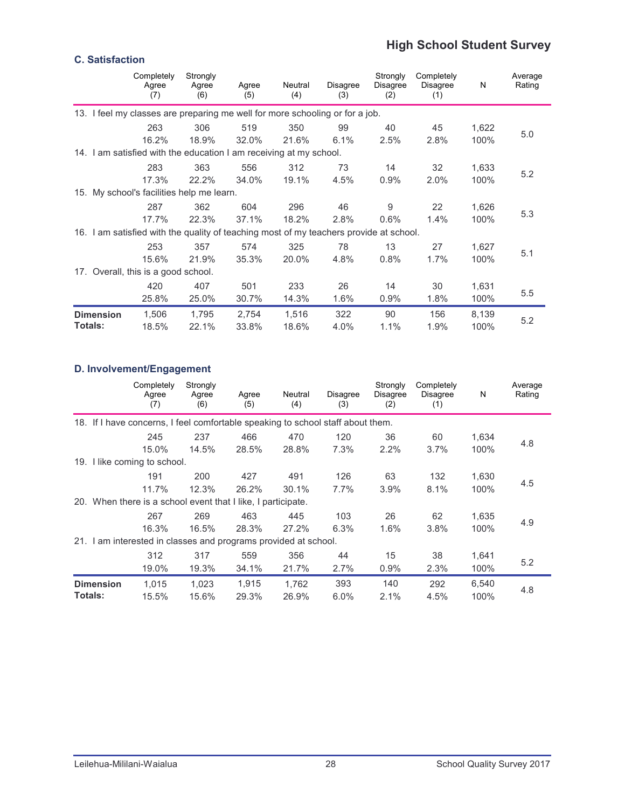## **High School Student Survey**

## **C. Satisfaction**

|                |                                                                                        | Completely<br>Agree<br>(7) | Strongly<br>Agree<br>(6) | Agree<br>(5) | Neutral<br>(4) | Disagree<br>(3) | Strongly<br><b>Disagree</b><br>(2) | Completely<br>Disagree<br>(1) | N     | Average<br>Rating |
|----------------|----------------------------------------------------------------------------------------|----------------------------|--------------------------|--------------|----------------|-----------------|------------------------------------|-------------------------------|-------|-------------------|
|                | 13. I feel my classes are preparing me well for more schooling or for a job.           |                            |                          |              |                |                 |                                    |                               |       |                   |
|                |                                                                                        | 263                        | 306                      | 519          | 350            | 99              | 40                                 | 45                            | 1,622 |                   |
|                |                                                                                        | 16.2%                      | 18.9%                    | 32.0%        | 21.6%          | 6.1%            | 2.5%                               | 2.8%                          | 100%  | 5.0               |
|                | 14. I am satisfied with the education I am receiving at my school.                     |                            |                          |              |                |                 |                                    |                               |       |                   |
|                |                                                                                        | 283                        | 363                      | 556          | 312            | 73              | 14                                 | 32                            | 1,633 |                   |
|                |                                                                                        | 17.3%                      | 22.2%                    | 34.0%        | 19.1%          | 4.5%            | 0.9%                               | 2.0%                          | 100%  | 5.2               |
|                | 15. My school's facilities help me learn.                                              |                            |                          |              |                |                 |                                    |                               |       |                   |
|                |                                                                                        | 287                        | 362                      | 604          | 296            | 46              | 9                                  | 22                            | 1,626 |                   |
|                |                                                                                        | 17.7%                      | 22.3%                    | 37.1%        | 18.2%          | 2.8%            | 0.6%                               | 1.4%                          | 100%  | 5.3               |
|                | 16. I am satisfied with the quality of teaching most of my teachers provide at school. |                            |                          |              |                |                 |                                    |                               |       |                   |
|                |                                                                                        | 253                        | 357                      | 574          | 325            | 78              | 13                                 | 27                            | 1,627 |                   |
|                |                                                                                        | 15.6%                      | 21.9%                    | 35.3%        | 20.0%          | 4.8%            | 0.8%                               | 1.7%                          | 100%  | 5.1               |
|                | 17. Overall, this is a good school.                                                    |                            |                          |              |                |                 |                                    |                               |       |                   |
|                |                                                                                        | 420                        | 407                      | 501          | 233            | 26              | 14                                 | 30                            | 1,631 |                   |
|                |                                                                                        | 25.8%                      | 25.0%                    | 30.7%        | 14.3%          | 1.6%            | 0.9%                               | 1.8%                          | 100%  | 5.5               |
|                | <b>Dimension</b>                                                                       | 1,506                      | 1,795                    | 2,754        | 1,516          | 322             | 90                                 | 156                           | 8,139 | 5.2               |
| <b>Totals:</b> |                                                                                        | 18.5%                      | 22.1%                    | 33.8%        | 18.6%          | 4.0%            | 1.1%                               | 1.9%                          | 100%  |                   |

## **D. Involvement/Engagement**

|                |                  | Completely<br>Agree<br>(7)                                                      | Strongly<br>Agree<br>(6) | Agree<br>(5)   | Neutral<br>(4) | <b>Disagree</b><br>(3) | Strongly<br>Disagree<br>(2) | Completely<br>Disagree<br>(1) | N             | Average<br>Rating |
|----------------|------------------|---------------------------------------------------------------------------------|--------------------------|----------------|----------------|------------------------|-----------------------------|-------------------------------|---------------|-------------------|
|                |                  | 18. If I have concerns, I feel comfortable speaking to school staff about them. |                          |                |                |                        |                             |                               |               |                   |
|                |                  | 245                                                                             | 237                      | 466            | 470            | 120                    | 36                          | 60                            | 1,634         |                   |
|                |                  | 15.0%                                                                           | 14.5%                    | 28.5%          | 28.8%          | 7.3%                   | 2.2%                        | 3.7%                          | 100%          | 4.8               |
|                |                  | 19. I like coming to school.                                                    |                          |                |                |                        |                             |                               |               |                   |
|                |                  | 191                                                                             | 200                      | 427            | 491            | 126                    | 63                          | 132                           | 1,630         |                   |
|                |                  | 11.7%                                                                           | 12.3%                    | 26.2%          | 30.1%          | 7.7%                   | 3.9%                        | 8.1%                          | 100%          | 4.5               |
|                |                  | 20. When there is a school event that I like, I participate.                    |                          |                |                |                        |                             |                               |               |                   |
|                |                  | 267                                                                             | 269                      | 463            | 445            | 103                    | 26                          | 62                            | 1,635         |                   |
|                |                  | 16.3%                                                                           | 16.5%                    | 28.3%          | 27.2%          | 6.3%                   | 1.6%                        | 3.8%                          | 100%          | 4.9               |
| 21.            |                  | I am interested in classes and programs provided at school.                     |                          |                |                |                        |                             |                               |               |                   |
|                |                  | 312                                                                             | 317                      | 559            | 356            | 44                     | 15                          | 38                            | 1,641         |                   |
|                |                  | 19.0%                                                                           | 19.3%                    | 34.1%          | 21.7%          | 2.7%                   | 0.9%                        | 2.3%                          | 100%          | 5.2               |
| <b>Totals:</b> | <b>Dimension</b> | 1,015<br>15.5%                                                                  | 1,023<br>15.6%           | 1,915<br>29.3% | 1,762<br>26.9% | 393<br>6.0%            | 140<br>2.1%                 | 292<br>4.5%                   | 6,540<br>100% | 4.8               |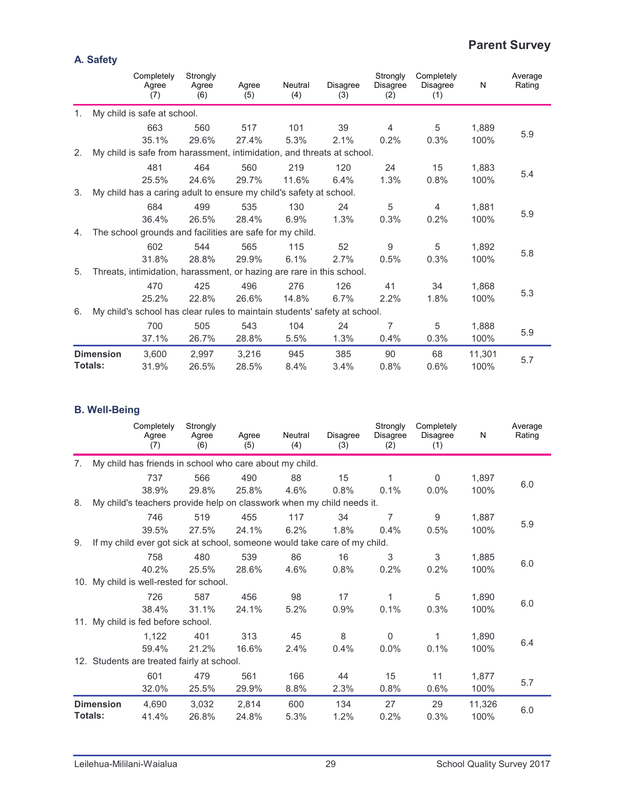## **Parent Survey**

|    |                  | Completely<br>Agree<br>(7)                                                | Strongly<br>Agree<br>(6) | Agree<br>(5) | Neutral<br>(4) | <b>Disagree</b><br>(3) | Strongly<br>Disagree<br>(2) | Completely<br><b>Disagree</b><br>(1) | N      | Average<br>Rating |
|----|------------------|---------------------------------------------------------------------------|--------------------------|--------------|----------------|------------------------|-----------------------------|--------------------------------------|--------|-------------------|
| 1. |                  | My child is safe at school.                                               |                          |              |                |                        |                             |                                      |        |                   |
|    |                  | 663                                                                       | 560                      | 517          | 101            | 39                     | $\overline{4}$              | 5                                    | 1,889  |                   |
|    |                  | 35.1%                                                                     | 29.6%                    | 27.4%        | 5.3%           | 2.1%                   | 0.2%                        | 0.3%                                 | 100%   | 5.9               |
| 2. |                  | My child is safe from harassment, intimidation, and threats at school.    |                          |              |                |                        |                             |                                      |        |                   |
|    |                  | 481                                                                       | 464                      | 560          | 219            | 120                    | 24                          | 15                                   | 1,883  |                   |
|    |                  | 25.5%                                                                     | 24.6%                    | 29.7%        | 11.6%          | 6.4%                   | 1.3%                        | 0.8%                                 | 100%   | 5.4               |
| 3. |                  | My child has a caring adult to ensure my child's safety at school.        |                          |              |                |                        |                             |                                      |        |                   |
|    |                  | 684                                                                       | 499                      | 535          | 130            | 24                     | 5                           | $\overline{4}$                       | 1,881  |                   |
|    |                  | 36.4%                                                                     | 26.5%                    | 28.4%        | 6.9%           | 1.3%                   | 0.3%                        | 0.2%                                 | 100%   | 5.9               |
| 4. |                  | The school grounds and facilities are safe for my child.                  |                          |              |                |                        |                             |                                      |        |                   |
|    |                  | 602                                                                       | 544                      | 565          | 115            | 52                     | 9                           | 5                                    | 1,892  |                   |
|    |                  | 31.8%                                                                     | 28.8%                    | 29.9%        | 6.1%           | 2.7%                   | 0.5%                        | 0.3%                                 | 100%   | 5.8               |
| 5. |                  | Threats, intimidation, harassment, or hazing are rare in this school.     |                          |              |                |                        |                             |                                      |        |                   |
|    |                  | 470                                                                       | 425                      | 496          | 276            | 126                    | 41                          | 34                                   | 1,868  |                   |
|    |                  | 25.2%                                                                     | 22.8%                    | 26.6%        | 14.8%          | 6.7%                   | 2.2%                        | 1.8%                                 | 100%   | 5.3               |
| 6. |                  | My child's school has clear rules to maintain students' safety at school. |                          |              |                |                        |                             |                                      |        |                   |
|    |                  | 700                                                                       | 505                      | 543          | 104            | 24                     | 7                           | 5                                    | 1,888  |                   |
|    |                  | 37.1%                                                                     | 26.7%                    | 28.8%        | 5.5%           | 1.3%                   | 0.4%                        | 0.3%                                 | 100%   | 5.9               |
|    | <b>Dimension</b> | 3,600                                                                     | 2,997                    | 3,216        | 945            | 385                    | 90                          | 68                                   | 11,301 |                   |
|    | Totals:          | 31.9%                                                                     | 26.5%                    | 28.5%        | 8.4%           | 3.4%                   | 0.8%                        | 0.6%                                 | 100%   | 5.7               |

#### **B. Well-Being**

|                |                  | Completely<br>Agree<br>(7)                                                | Strongly<br>Agree<br>(6) | Agree<br>(5) | Neutral<br>(4) | <b>Disagree</b><br>(3) | Strongly<br><b>Disagree</b><br>(2) | Completely<br><b>Disagree</b><br>(1) | N      | Average<br>Rating |
|----------------|------------------|---------------------------------------------------------------------------|--------------------------|--------------|----------------|------------------------|------------------------------------|--------------------------------------|--------|-------------------|
| 7 <sub>1</sub> |                  | My child has friends in school who care about my child.                   |                          |              |                |                        |                                    |                                      |        |                   |
|                |                  | 737                                                                       | 566                      | 490          | 88             | 15                     | 1                                  | $\pmb{0}$                            | 1,897  |                   |
|                |                  | 38.9%                                                                     | 29.8%                    | 25.8%        | 4.6%           | 0.8%                   | 0.1%                               | $0.0\%$                              | 100%   | 6.0               |
| 8.             |                  | My child's teachers provide help on classwork when my child needs it.     |                          |              |                |                        |                                    |                                      |        |                   |
|                |                  | 746                                                                       | 519                      | 455          | 117            | 34                     | 7                                  | $\boldsymbol{9}$                     | 1,887  |                   |
|                |                  | 39.5%                                                                     | 27.5%                    | 24.1%        | 6.2%           | 1.8%                   | 0.4%                               | 0.5%                                 | 100%   | 5.9               |
| 9.             |                  | If my child ever got sick at school, someone would take care of my child. |                          |              |                |                        |                                    |                                      |        |                   |
|                |                  | 758                                                                       | 480                      | 539          | 86             | 16                     | 3                                  | 3                                    | 1,885  |                   |
|                |                  | 40.2%                                                                     | 25.5%                    | 28.6%        | 4.6%           | 0.8%                   | 0.2%                               | 0.2%                                 | 100%   | 6.0               |
|                |                  | 10. My child is well-rested for school.                                   |                          |              |                |                        |                                    |                                      |        |                   |
|                |                  | 726                                                                       | 587                      | 456          | 98             | 17                     | 1                                  | 5                                    | 1,890  |                   |
|                |                  | 38.4%                                                                     | 31.1%                    | 24.1%        | 5.2%           | 0.9%                   | 0.1%                               | 0.3%                                 | 100%   | 6.0               |
|                |                  | 11. My child is fed before school.                                        |                          |              |                |                        |                                    |                                      |        |                   |
|                |                  | 1,122                                                                     | 401                      | 313          | 45             | 8                      | $\mathbf 0$                        | 1                                    | 1,890  |                   |
|                |                  | 59.4%                                                                     | 21.2%                    | 16.6%        | 2.4%           | 0.4%                   | 0.0%                               | 0.1%                                 | 100%   | 6.4               |
|                |                  | 12. Students are treated fairly at school.                                |                          |              |                |                        |                                    |                                      |        |                   |
|                |                  | 601                                                                       | 479                      | 561          | 166            | 44                     | 15                                 | 11                                   | 1,877  |                   |
|                |                  | 32.0%                                                                     | 25.5%                    | 29.9%        | 8.8%           | 2.3%                   | 0.8%                               | 0.6%                                 | 100%   | 5.7               |
|                | <b>Dimension</b> | 4,690                                                                     | 3,032                    | 2,814        | 600            | 134                    | 27                                 | 29                                   | 11,326 |                   |
|                | <b>Totals:</b>   | 41.4%                                                                     | 26.8%                    | 24.8%        | 5.3%           | 1.2%                   | 0.2%                               | 0.3%                                 | 100%   | 6.0               |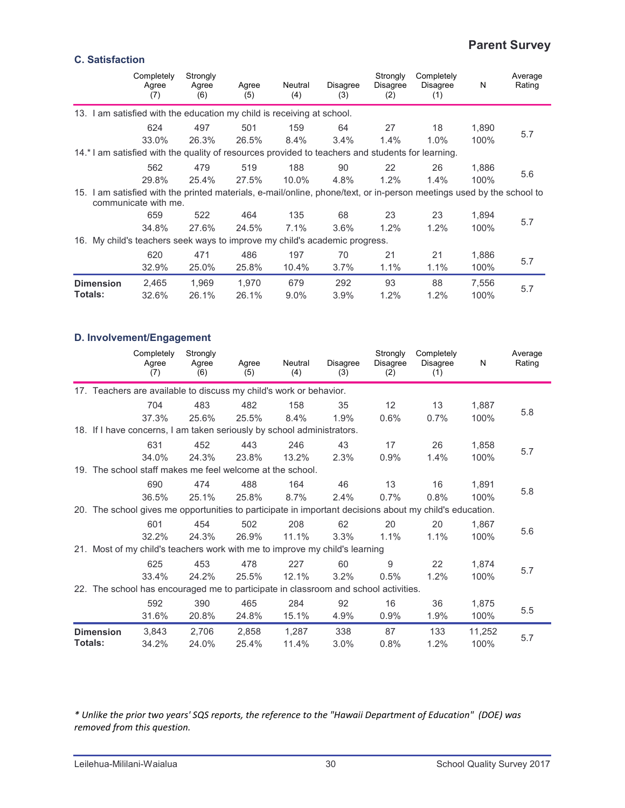## **Parent Survey**

#### **C. Satisfaction**

|                                                                                                                       | Completely<br>Agree<br>(7) | Strongly<br>Agree<br>(6) | Agree<br>(5) | Neutral<br>(4) | Disagree<br>(3) | Strongly<br><b>Disagree</b><br>(2) | Completely<br><b>Disagree</b><br>(1) | N     | Average<br>Rating |
|-----------------------------------------------------------------------------------------------------------------------|----------------------------|--------------------------|--------------|----------------|-----------------|------------------------------------|--------------------------------------|-------|-------------------|
| 13. I am satisfied with the education my child is receiving at school.                                                |                            |                          |              |                |                 |                                    |                                      |       |                   |
|                                                                                                                       | 624                        | 497                      | 501          | 159            | 64              | 27                                 | 18                                   | 1,890 |                   |
|                                                                                                                       | 33.0%                      | 26.3%                    | 26.5%        | 8.4%           | 3.4%            | 1.4%                               | 1.0%                                 | 100%  | 5.7               |
| 14.* I am satisfied with the quality of resources provided to teachers and students for learning.                     |                            |                          |              |                |                 |                                    |                                      |       |                   |
|                                                                                                                       | 562                        | 479                      | 519          | 188            | 90              | 22                                 | 26                                   | 1,886 |                   |
|                                                                                                                       | 29.8%                      | 25.4%                    | 27.5%        | $10.0\%$       | 4.8%            | 1.2%                               | 1.4%                                 | 100%  | 5.6               |
| 15. I am satisfied with the printed materials, e-mail/online, phone/text, or in-person meetings used by the school to | communicate with me.       |                          |              |                |                 |                                    |                                      |       |                   |
|                                                                                                                       | 659                        | 522                      | 464          | 135            | 68              | 23                                 | 23                                   | 1.894 |                   |
|                                                                                                                       | 34.8%                      | 27.6%                    | 24.5%        | 7.1%           | 3.6%            | 1.2%                               | 1.2%                                 | 100%  | 5.7               |
| 16. My child's teachers seek ways to improve my child's academic progress.                                            |                            |                          |              |                |                 |                                    |                                      |       |                   |
|                                                                                                                       | 620                        | 471                      | 486          | 197            | 70              | 21                                 | 21                                   | 1,886 |                   |
|                                                                                                                       | 32.9%                      | 25.0%                    | 25.8%        | 10.4%          | 3.7%            | 1.1%                               | 1.1%                                 | 100%  | 5.7               |
| <b>Dimension</b>                                                                                                      | 2,465                      | 1,969                    | 1.970        | 679            | 292             | 93                                 | 88                                   | 7,556 | 5.7               |
| <b>Totals:</b>                                                                                                        | 32.6%                      | 26.1%                    | 26.1%        | $9.0\%$        | 3.9%            | 1.2%                               | 1.2%                                 | 100%  |                   |

#### **D. Involvement/Engagement**

|                  | Completely<br>Agree<br>(7)                                                          | Strongly<br>Agree<br>(6) | Agree<br>(5) | Neutral<br>(4) | Disagree<br>(3) | Strongly<br>Disagree<br>(2) | Completely<br>Disagree<br>(1)                                                                           | N      | Average<br>Rating |
|------------------|-------------------------------------------------------------------------------------|--------------------------|--------------|----------------|-----------------|-----------------------------|---------------------------------------------------------------------------------------------------------|--------|-------------------|
|                  | 17. Teachers are available to discuss my child's work or behavior.                  |                          |              |                |                 |                             |                                                                                                         |        |                   |
|                  | 704                                                                                 | 483                      | 482          | 158            | 35              | 12                          | 13                                                                                                      | 1,887  |                   |
|                  | 37.3%                                                                               | 25.6%                    | 25.5%        | 8.4%           | 1.9%            | 0.6%                        | 0.7%                                                                                                    | 100%   | 5.8               |
|                  | 18. If I have concerns, I am taken seriously by school administrators.              |                          |              |                |                 |                             |                                                                                                         |        |                   |
|                  | 631                                                                                 | 452                      | 443          | 246            | 43              | 17                          | 26                                                                                                      | 1,858  |                   |
|                  | 34.0%                                                                               | 24.3%                    | 23.8%        | 13.2%          | 2.3%            | 0.9%                        | 1.4%                                                                                                    | 100%   | 5.7               |
|                  | 19. The school staff makes me feel welcome at the school.                           |                          |              |                |                 |                             |                                                                                                         |        |                   |
|                  | 690                                                                                 | 474                      | 488          | 164            | 46              | 13                          | 16                                                                                                      | 1,891  |                   |
|                  | 36.5%                                                                               | 25.1%                    | 25.8%        | 8.7%           | 2.4%            | 0.7%                        | 0.8%                                                                                                    | 100%   | 5.8               |
|                  |                                                                                     |                          |              |                |                 |                             | 20. The school gives me opportunities to participate in important decisions about my child's education. |        |                   |
|                  | 601                                                                                 | 454                      | 502          | 208            | 62              | 20                          | 20                                                                                                      | 1,867  |                   |
|                  | 32.2%                                                                               | 24.3%                    | 26.9%        | 11.1%          | 3.3%            | 1.1%                        | 1.1%                                                                                                    | 100%   | 5.6               |
|                  | 21. Most of my child's teachers work with me to improve my child's learning         |                          |              |                |                 |                             |                                                                                                         |        |                   |
|                  | 625                                                                                 | 453                      | 478          | 227            | 60              | 9                           | 22                                                                                                      | 1,874  |                   |
|                  | 33.4%                                                                               | 24.2%                    | 25.5%        | 12.1%          | 3.2%            | 0.5%                        | 1.2%                                                                                                    | 100%   | 5.7               |
|                  | 22. The school has encouraged me to participate in classroom and school activities. |                          |              |                |                 |                             |                                                                                                         |        |                   |
|                  | 592                                                                                 | 390                      | 465          | 284            | 92              | 16                          | 36                                                                                                      | 1,875  |                   |
|                  | 31.6%                                                                               | 20.8%                    | 24.8%        | 15.1%          | 4.9%            | 0.9%                        | 1.9%                                                                                                    | 100%   | 5.5               |
| <b>Dimension</b> | 3,843                                                                               | 2,706                    | 2,858        | 1,287          | 338             | 87                          | 133                                                                                                     | 11,252 |                   |
| <b>Totals:</b>   | 34.2%                                                                               | 24.0%                    | 25.4%        | 11.4%          | 3.0%            | 0.8%                        | 1.2%                                                                                                    | 100%   | 5.7               |

\* Unlike the prior two years' SQS reports, the reference to the "Hawaii Department of Education" (DOE) was *removed from this question.*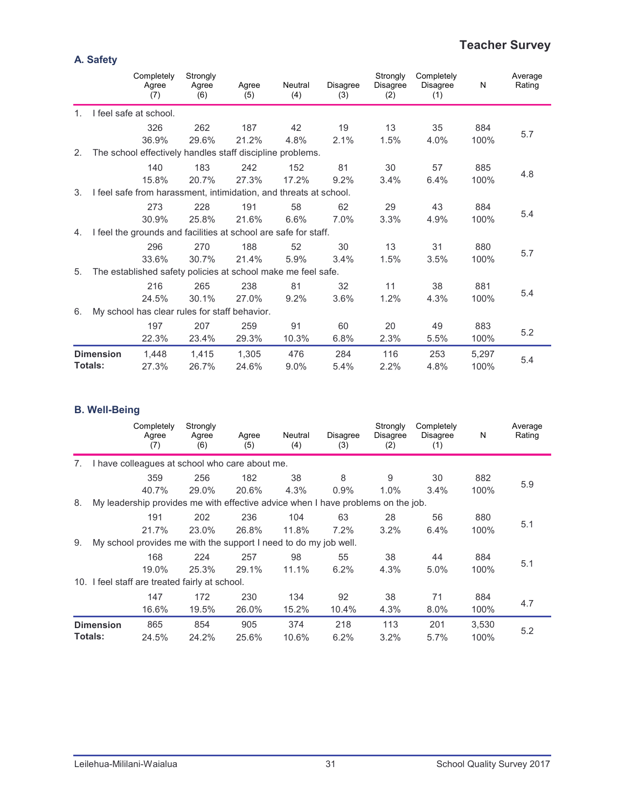## **Teacher Survey**

|                |                  | Completely<br>Agree<br>(7)                                        | Strongly<br>Agree<br>(6) | Agree<br>(5) | Neutral<br>(4) | <b>Disagree</b><br>(3) | Strongly<br>Disagree<br>(2) | Completely<br><b>Disagree</b><br>(1) | N     | Average<br>Rating |
|----------------|------------------|-------------------------------------------------------------------|--------------------------|--------------|----------------|------------------------|-----------------------------|--------------------------------------|-------|-------------------|
| 1 <sub>1</sub> |                  | I feel safe at school.                                            |                          |              |                |                        |                             |                                      |       |                   |
|                |                  | 326                                                               | 262                      | 187          | 42             | 19                     | 13                          | 35                                   | 884   |                   |
|                |                  | 36.9%                                                             | 29.6%                    | 21.2%        | 4.8%           | 2.1%                   | 1.5%                        | 4.0%                                 | 100%  | 5.7               |
| 2.             |                  | The school effectively handles staff discipline problems.         |                          |              |                |                        |                             |                                      |       |                   |
|                |                  | 140                                                               | 183                      | 242          | 152            | 81                     | 30                          | 57                                   | 885   |                   |
|                |                  | 15.8%                                                             | 20.7%                    | 27.3%        | 17.2%          | 9.2%                   | 3.4%                        | 6.4%                                 | 100%  | 4.8               |
| 3.             |                  | I feel safe from harassment, intimidation, and threats at school. |                          |              |                |                        |                             |                                      |       |                   |
|                |                  | 273                                                               | 228                      | 191          | 58             | 62                     | 29                          | 43                                   | 884   |                   |
|                |                  | 30.9%                                                             | 25.8%                    | 21.6%        | 6.6%           | 7.0%                   | 3.3%                        | 4.9%                                 | 100%  | 5.4               |
| 4.             |                  | I feel the grounds and facilities at school are safe for staff.   |                          |              |                |                        |                             |                                      |       |                   |
|                |                  | 296                                                               | 270                      | 188          | 52             | 30                     | 13                          | 31                                   | 880   |                   |
|                |                  | 33.6%                                                             | 30.7%                    | 21.4%        | 5.9%           | 3.4%                   | 1.5%                        | 3.5%                                 | 100%  | 5.7               |
| 5.             |                  | The established safety policies at school make me feel safe.      |                          |              |                |                        |                             |                                      |       |                   |
|                |                  | 216                                                               | 265                      | 238          | 81             | 32                     | 11                          | 38                                   | 881   |                   |
|                |                  | 24.5%                                                             | 30.1%                    | 27.0%        | 9.2%           | 3.6%                   | 1.2%                        | 4.3%                                 | 100%  | 5.4               |
| 6.             |                  | My school has clear rules for staff behavior.                     |                          |              |                |                        |                             |                                      |       |                   |
|                |                  | 197                                                               | 207                      | 259          | 91             | 60                     | 20                          | 49                                   | 883   |                   |
|                |                  | 22.3%                                                             | 23.4%                    | 29.3%        | 10.3%          | 6.8%                   | 2.3%                        | 5.5%                                 | 100%  | 5.2               |
|                | <b>Dimension</b> | 1,448                                                             | 1,415                    | 1,305        | 476            | 284                    | 116                         | 253                                  | 5,297 |                   |
|                | Totals:          | 27.3%                                                             | 26.7%                    | 24.6%        | 9.0%           | 5.4%                   | 2.2%                        | 4.8%                                 | 100%  | 5.4               |

#### **B. Well-Being**

|         |                  | Completely<br>Agree<br>(7)                                                       | Strongly<br>Agree<br>(6) | Agree<br>(5) | Neutral<br>(4) | Disagree<br>(3) | Strongly<br>Disagree<br>(2) | Completely<br><b>Disagree</b><br>(1) | N     | Average<br>Rating |
|---------|------------------|----------------------------------------------------------------------------------|--------------------------|--------------|----------------|-----------------|-----------------------------|--------------------------------------|-------|-------------------|
| 7.      |                  | I have colleagues at school who care about me.                                   |                          |              |                |                 |                             |                                      |       |                   |
|         |                  | 359                                                                              | 256                      | 182          | 38             | 8               | 9                           | 30                                   | 882   |                   |
|         |                  | 40.7%                                                                            | 29.0%                    | 20.6%        | 4.3%           | 0.9%            | 1.0%                        | 3.4%                                 | 100%  | 5.9               |
| 8.      |                  | My leadership provides me with effective advice when I have problems on the job. |                          |              |                |                 |                             |                                      |       |                   |
|         |                  | 191                                                                              | 202                      | 236          | 104            | 63              | 28                          | 56                                   | 880   |                   |
|         |                  | 21.7%                                                                            | 23.0%                    | 26.8%        | 11.8%          | 7.2%            | 3.2%                        | 6.4%                                 | 100%  | 5.1               |
| 9.      |                  | My school provides me with the support I need to do my job well.                 |                          |              |                |                 |                             |                                      |       |                   |
|         |                  | 168                                                                              | 224                      | 257          | 98             | 55              | 38                          | 44                                   | 884   |                   |
|         |                  | 19.0%                                                                            | 25.3%                    | 29.1%        | 11.1%          | 6.2%            | 4.3%                        | 5.0%                                 | 100%  | 5.1               |
|         |                  | 10. I feel staff are treated fairly at school.                                   |                          |              |                |                 |                             |                                      |       |                   |
|         |                  | 147                                                                              | 172                      | 230          | 134            | 92              | 38                          | 71                                   | 884   |                   |
|         |                  | 16.6%                                                                            | 19.5%                    | 26.0%        | 15.2%          | 10.4%           | 4.3%                        | 8.0%                                 | 100%  | 4.7               |
|         | <b>Dimension</b> | 865                                                                              | 854                      | 905          | 374            | 218             | 113                         | 201                                  | 3,530 |                   |
| Totals: |                  | 24.5%                                                                            | 24.2%                    | 25.6%        | 10.6%          | 6.2%            | 3.2%                        | 5.7%                                 | 100%  | 5.2               |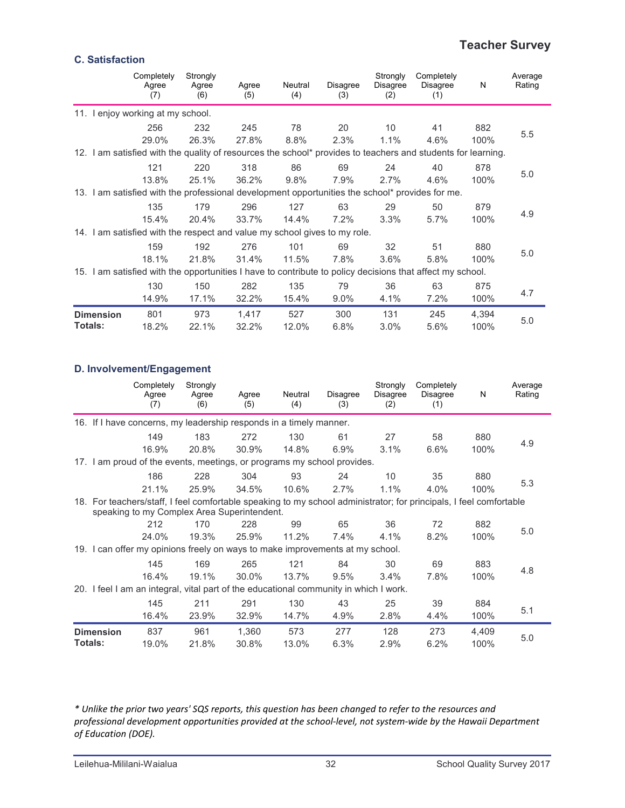#### **Teacher Survey**

#### **C. Satisfaction**

|                  | Completely<br>Agree<br>(7)                                                                                   | Strongly<br>Agree<br>(6) | Agree<br>(5) | Neutral<br>(4) | Disagree<br>(3) | Strongly<br>Disagree<br>(2) | Completely<br>Disagree<br>(1) | N     | Average<br>Rating |
|------------------|--------------------------------------------------------------------------------------------------------------|--------------------------|--------------|----------------|-----------------|-----------------------------|-------------------------------|-------|-------------------|
|                  | 11. I enjoy working at my school.                                                                            |                          |              |                |                 |                             |                               |       |                   |
|                  | 256                                                                                                          | 232                      | 245          | 78             | 20              | 10 <sup>°</sup>             | 41                            | 882   |                   |
|                  | 29.0%                                                                                                        | 26.3%                    | 27.8%        | 8.8%           | 2.3%            | 1.1%                        | 4.6%                          | 100%  | 5.5               |
|                  | 12. I am satisfied with the quality of resources the school* provides to teachers and students for learning. |                          |              |                |                 |                             |                               |       |                   |
|                  | 121                                                                                                          | 220                      | 318          | 86             | 69              | 24                          | 40                            | 878   |                   |
|                  | 13.8%                                                                                                        | 25.1%                    | 36.2%        | 9.8%           | 7.9%            | 2.7%                        | 4.6%                          | 100%  | 5.0               |
|                  | 13. I am satisfied with the professional development opportunities the school* provides for me.              |                          |              |                |                 |                             |                               |       |                   |
|                  | 135                                                                                                          | 179                      | 296          | 127            | 63              | 29                          | 50                            | 879   |                   |
|                  | 15.4%                                                                                                        | 20.4%                    | 33.7%        | 14.4%          | 7.2%            | 3.3%                        | 5.7%                          | 100%  | 4.9               |
|                  | 14. I am satisfied with the respect and value my school gives to my role.                                    |                          |              |                |                 |                             |                               |       |                   |
|                  | 159                                                                                                          | 192                      | 276          | 101            | 69              | 32                          | 51                            | 880   |                   |
|                  | 18.1%                                                                                                        | 21.8%                    | 31.4%        | 11.5%          | 7.8%            | 3.6%                        | 5.8%                          | 100%  | 5.0               |
|                  | 15. I am satisfied with the opportunities I have to contribute to policy decisions that affect my school.    |                          |              |                |                 |                             |                               |       |                   |
|                  | 130                                                                                                          | 150                      | 282          | 135            | 79              | 36                          | 63                            | 875   |                   |
|                  | 14.9%                                                                                                        | 17.1%                    | 32.2%        | 15.4%          | $9.0\%$         | 4.1%                        | 7.2%                          | 100%  | 4.7               |
| <b>Dimension</b> | 801                                                                                                          | 973                      | 1,417        | 527            | 300             | 131                         | 245                           | 4,394 |                   |
| <b>Totals:</b>   | 18.2%                                                                                                        | 22.1%                    | 32.2%        | 12.0%          | 6.8%            | 3.0%                        | 5.6%                          | 100%  | 5.0               |

#### **D. Involvement/Engagement**

|                             | Completely<br>Agree<br>(7)                                                                                                                                        | Strongly<br>Agree<br>(6) | Agree<br>(5)   | Neutral<br>(4) | Disagree<br>(3) | Strongly<br>Disagree<br>(2) | Completely<br>Disagree<br>(1) | N             | Average<br>Rating |
|-----------------------------|-------------------------------------------------------------------------------------------------------------------------------------------------------------------|--------------------------|----------------|----------------|-----------------|-----------------------------|-------------------------------|---------------|-------------------|
|                             | 16. If I have concerns, my leadership responds in a timely manner.                                                                                                |                          |                |                |                 |                             |                               |               |                   |
|                             | 149                                                                                                                                                               | 183                      | 272            | 130            | 61              | 27                          | 58                            | 880           | 4.9               |
|                             | 16.9%                                                                                                                                                             | 20.8%                    | 30.9%          | 14.8%          | 6.9%            | 3.1%                        | 6.6%                          | 100%          |                   |
|                             | 17. I am proud of the events, meetings, or programs my school provides.                                                                                           |                          |                |                |                 |                             |                               |               |                   |
|                             | 186                                                                                                                                                               | 228                      | 304            | 93             | 24              | 10                          | 35                            | 880           |                   |
|                             | 21.1%                                                                                                                                                             | 25.9%                    | 34.5%          | 10.6%          | 2.7%            | 1.1%                        | 4.0%                          | 100%          | 5.3               |
|                             | 18. For teachers/staff, I feel comfortable speaking to my school administrator; for principals, I feel comfortable<br>speaking to my Complex Area Superintendent. |                          |                |                |                 |                             |                               |               |                   |
|                             | 212                                                                                                                                                               | 170                      | 228            | 99             | 65              | 36                          | 72                            | 882           | 5.0               |
|                             | 24.0%                                                                                                                                                             | 19.3%                    | 25.9%          | 11.2%          | 7.4%            | 4.1%                        | 8.2%                          | 100%          |                   |
|                             | 19. I can offer my opinions freely on ways to make improvements at my school.                                                                                     |                          |                |                |                 |                             |                               |               |                   |
|                             | 145                                                                                                                                                               | 169                      | 265            | 121            | 84              | 30                          | 69                            | 883           |                   |
|                             | 16.4%                                                                                                                                                             | 19.1%                    | 30.0%          | 13.7%          | 9.5%            | 3.4%                        | 7.8%                          | 100%          | 4.8               |
|                             | 20. I feel I am an integral, vital part of the educational community in which I work.                                                                             |                          |                |                |                 |                             |                               |               |                   |
|                             | 145                                                                                                                                                               | 211                      | 291            | 130            | 43              | 25                          | 39                            | 884           |                   |
|                             | 16.4%                                                                                                                                                             | 23.9%                    | 32.9%          | 14.7%          | 4.9%            | 2.8%                        | 4.4%                          | 100%          | 5.1               |
| <b>Dimension</b><br>Totals: | 837<br>19.0%                                                                                                                                                      | 961<br>21.8%             | 1,360<br>30.8% | 573<br>13.0%   | 277<br>6.3%     | 128<br>2.9%                 | 273<br>6.2%                   | 4,409<br>100% | 5.0               |

\* Unlike the prior two years' SQS reports, this question has been changed to refer to the resources and professional development opportunities provided at the school-level, not system-wide by the Hawaii Department *of Education (DOE).*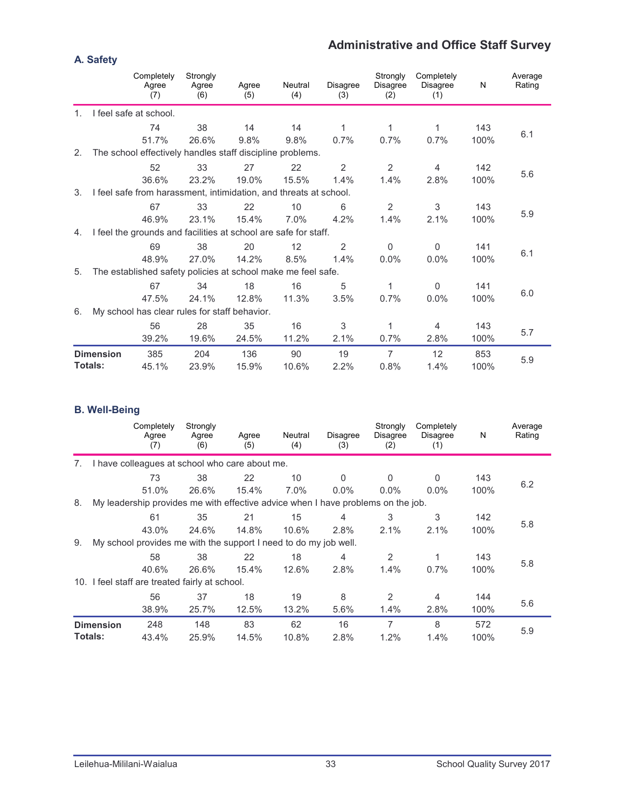## **Administrative and Office Staff Survey**

|                |                  | Completely<br>Agree<br>(7)                                        | Strongly<br>Agree<br>(6) | Agree<br>(5) | Neutral<br>(4) | <b>Disagree</b><br>(3) | Strongly<br>Disagree<br>(2) | Completely<br><b>Disagree</b><br>(1) | N    | Average<br>Rating |
|----------------|------------------|-------------------------------------------------------------------|--------------------------|--------------|----------------|------------------------|-----------------------------|--------------------------------------|------|-------------------|
| 1 <sub>1</sub> |                  | I feel safe at school.                                            |                          |              |                |                        |                             |                                      |      |                   |
|                |                  | 74                                                                | 38                       | 14           | 14             | 1                      | 1                           | 1                                    | 143  |                   |
|                |                  | 51.7%                                                             | 26.6%                    | 9.8%         | 9.8%           | $0.7\%$                | 0.7%                        | 0.7%                                 | 100% | 6.1               |
| 2.             |                  | The school effectively handles staff discipline problems.         |                          |              |                |                        |                             |                                      |      |                   |
|                |                  | 52                                                                | 33                       | 27           | 22             | 2                      | 2                           | $\overline{4}$                       | 142  |                   |
|                |                  | 36.6%                                                             | 23.2%                    | 19.0%        | 15.5%          | 1.4%                   | 1.4%                        | 2.8%                                 | 100% | 5.6               |
| 3.             |                  | I feel safe from harassment, intimidation, and threats at school. |                          |              |                |                        |                             |                                      |      |                   |
|                |                  | 67                                                                | 33                       | 22           | 10             | 6                      | $\overline{2}$              | 3                                    | 143  |                   |
|                |                  | 46.9%                                                             | 23.1%                    | 15.4%        | $7.0\%$        | 4.2%                   | 1.4%                        | 2.1%                                 | 100% | 5.9               |
| 4.             |                  | I feel the grounds and facilities at school are safe for staff.   |                          |              |                |                        |                             |                                      |      |                   |
|                |                  | 69                                                                | 38                       | 20           | 12             | 2                      | $\Omega$                    | $\Omega$                             | 141  |                   |
|                |                  | 48.9%                                                             | 27.0%                    | 14.2%        | 8.5%           | 1.4%                   | 0.0%                        | $0.0\%$                              | 100% | 6.1               |
| 5.             |                  | The established safety policies at school make me feel safe.      |                          |              |                |                        |                             |                                      |      |                   |
|                |                  | 67                                                                | 34                       | 18           | 16             | 5                      | 1                           | 0                                    | 141  |                   |
|                |                  | 47.5%                                                             | 24.1%                    | 12.8%        | 11.3%          | 3.5%                   | 0.7%                        | $0.0\%$                              | 100% | 6.0               |
| 6.             |                  | My school has clear rules for staff behavior.                     |                          |              |                |                        |                             |                                      |      |                   |
|                |                  | 56                                                                | 28                       | 35           | 16             | 3                      | 1                           | 4                                    | 143  |                   |
|                |                  | 39.2%                                                             | 19.6%                    | 24.5%        | 11.2%          | 2.1%                   | 0.7%                        | 2.8%                                 | 100% | 5.7               |
|                | <b>Dimension</b> | 385                                                               | 204                      | 136          | 90             | 19                     | 7                           | $12 \overline{ }$                    | 853  |                   |
|                | Totals:          | 45.1%                                                             | 23.9%                    | 15.9%        | 10.6%          | 2.2%                   | 0.8%                        | 1.4%                                 | 100% | 5.9               |

#### **B. Well-Being**

|    |                                    | Completely<br>Agree<br>(7)                                                       | Strongly<br>Agree<br>(6) | Agree<br>(5) | Neutral<br>(4) | <b>Disagree</b><br>(3) | Strongly<br>Disagree<br>(2) | Completely<br><b>Disagree</b><br>(1) | N           | Average<br>Rating |
|----|------------------------------------|----------------------------------------------------------------------------------|--------------------------|--------------|----------------|------------------------|-----------------------------|--------------------------------------|-------------|-------------------|
| 7. |                                    | I have colleagues at school who care about me.                                   |                          |              |                |                        |                             |                                      |             |                   |
|    |                                    | 73                                                                               | 38                       | 22           | 10             | $\Omega$               | $\mathbf{0}$                | 0                                    | 143         |                   |
|    |                                    | 51.0%                                                                            | 26.6%                    | 15.4%        | $7.0\%$        | $0.0\%$                | $0.0\%$                     | $0.0\%$                              | 100%        | 6.2               |
| 8. |                                    | My leadership provides me with effective advice when I have problems on the job. |                          |              |                |                        |                             |                                      |             |                   |
|    |                                    | 61                                                                               | 35                       | 21           | 15             | 4                      | 3                           | 3                                    | 142         |                   |
|    |                                    | $43.0\%$                                                                         | 24.6%                    | 14.8%        | 10.6%          | 2.8%                   | 2.1%                        | 2.1%                                 | 100%        | 5.8               |
| 9. |                                    | My school provides me with the support I need to do my job well.                 |                          |              |                |                        |                             |                                      |             |                   |
|    |                                    | 58                                                                               | 38                       | 22           | 18             | 4                      | 2                           | 1                                    | 143         |                   |
|    |                                    | 40.6%                                                                            | 26.6%                    | 15.4%        | 12.6%          | 2.8%                   | 1.4%                        | 0.7%                                 | 100%        | 5.8               |
|    |                                    | 10. I feel staff are treated fairly at school.                                   |                          |              |                |                        |                             |                                      |             |                   |
|    |                                    | 56                                                                               | 37                       | 18           | 19             | 8                      | 2                           | 4                                    | 144         |                   |
|    |                                    | 38.9%                                                                            | 25.7%                    | 12.5%        | 13.2%          | 5.6%                   | 1.4%                        | 2.8%                                 | 100%        | 5.6               |
|    | <b>Dimension</b><br><b>Totals:</b> | 248<br>43.4%                                                                     | 148<br>25.9%             | 83<br>14.5%  | 62<br>10.8%    | 16<br>2.8%             | 7<br>1.2%                   | 8<br>1.4%                            | 572<br>100% | 5.9               |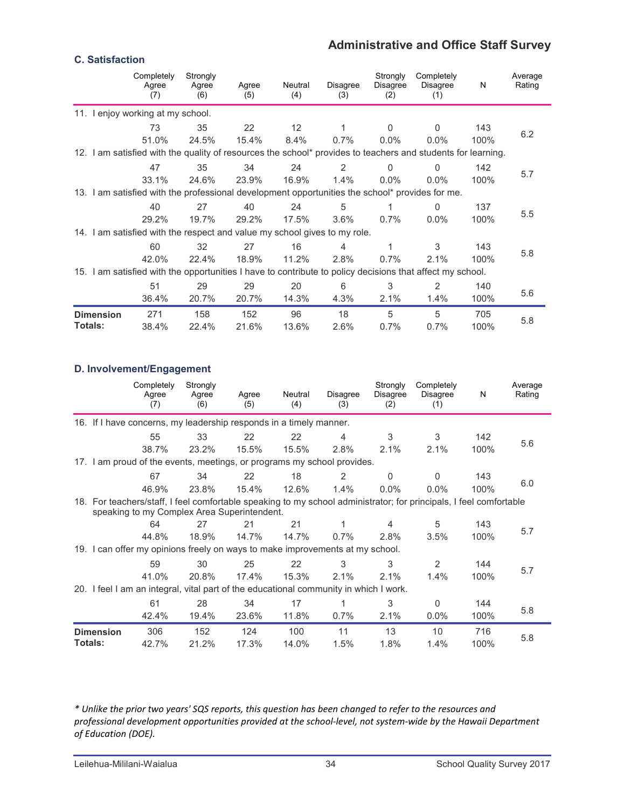## **Administrative and Office Staff Survey**

#### **C. Satisfaction**

|                  | Completely<br>Agree<br>(7)                                                                                   | Strongly<br>Agree<br>(6) | Agree<br>(5) | Neutral<br>(4)  | Disagree<br>(3) | Strongly<br><b>Disagree</b><br>(2) | Completely<br>Disagree<br>(1) | N    | Average<br>Rating |
|------------------|--------------------------------------------------------------------------------------------------------------|--------------------------|--------------|-----------------|-----------------|------------------------------------|-------------------------------|------|-------------------|
|                  | 11. I enjoy working at my school.                                                                            |                          |              |                 |                 |                                    |                               |      |                   |
|                  | 73                                                                                                           | 35                       | 22           | 12 <sup>2</sup> | 1               | $\Omega$                           | $\Omega$                      | 143  |                   |
|                  | 51.0%                                                                                                        | 24.5%                    | 15.4%        | 8.4%            | 0.7%            | $0.0\%$                            | $0.0\%$                       | 100% | 6.2               |
|                  | 12. I am satisfied with the quality of resources the school* provides to teachers and students for learning. |                          |              |                 |                 |                                    |                               |      |                   |
|                  | 47                                                                                                           | 35                       | 34           | 24              | 2               | $\mathbf{0}$                       | $\Omega$                      | 142  |                   |
|                  | 33.1%                                                                                                        | 24.6%                    | 23.9%        | 16.9%           | 1.4%            | $0.0\%$                            | $0.0\%$                       | 100% | 5.7               |
|                  | 13. I am satisfied with the professional development opportunities the school* provides for me.              |                          |              |                 |                 |                                    |                               |      |                   |
|                  | 40                                                                                                           | 27                       | 40           | 24              | 5               |                                    | <sup>0</sup>                  | 137  |                   |
|                  | 29.2%                                                                                                        | 19.7%                    | 29.2%        | 17.5%           | $3.6\%$         | $0.7\%$                            | $0.0\%$                       | 100% | 5.5               |
|                  | 14. I am satisfied with the respect and value my school gives to my role.                                    |                          |              |                 |                 |                                    |                               |      |                   |
|                  | 60                                                                                                           | 32                       | 27           | 16              | 4               | 1                                  | 3                             | 143  |                   |
|                  | 42.0%                                                                                                        | 22.4%                    | 18.9%        | 11.2%           | 2.8%            | 0.7%                               | 2.1%                          | 100% | 5.8               |
|                  | 15. I am satisfied with the opportunities I have to contribute to policy decisions that affect my school.    |                          |              |                 |                 |                                    |                               |      |                   |
|                  | 51                                                                                                           | 29                       | 29           | 20              | 6               | 3                                  | 2                             | 140  |                   |
|                  | 36.4%                                                                                                        | 20.7%                    | 20.7%        | 14.3%           | 4.3%            | 2.1%                               | 1.4%                          | 100% | 5.6               |
| <b>Dimension</b> | 271                                                                                                          | 158                      | 152          | 96              | 18              | 5                                  | 5                             | 705  |                   |
| <b>Totals:</b>   | 38.4%                                                                                                        | 22.4%                    | 21.6%        | 13.6%           | 2.6%            | 0.7%                               | 0.7%                          | 100% | 5.8               |

#### **D. Involvement/Engagement**

|         |                  | Completely<br>Agree<br>(7)                                                            | Strongly<br>Agree<br>(6) | Agree<br>(5) | Neutral<br>(4) | Disagree<br>(3) | Strongly<br>Disagree<br>(2) | Completely<br><b>Disagree</b><br>(1)                                                                               | N           | Average<br>Rating |
|---------|------------------|---------------------------------------------------------------------------------------|--------------------------|--------------|----------------|-----------------|-----------------------------|--------------------------------------------------------------------------------------------------------------------|-------------|-------------------|
|         |                  | 16. If I have concerns, my leadership responds in a timely manner.                    |                          |              |                |                 |                             |                                                                                                                    |             |                   |
|         |                  | 55                                                                                    | 33                       | 22           | 22             | 4               | 3                           | 3                                                                                                                  | 142         | 5.6               |
|         |                  | 38.7%                                                                                 | 23.2%                    | 15.5%        | 15.5%          | 2.8%            | 2.1%                        | 2.1%                                                                                                               | 100%        |                   |
|         |                  | 17. I am proud of the events, meetings, or programs my school provides.               |                          |              |                |                 |                             |                                                                                                                    |             |                   |
|         |                  | 67                                                                                    | 34                       | 22           | 18             | 2               | $\Omega$                    | $\mathbf{0}$                                                                                                       | 143         |                   |
|         |                  | 46.9%                                                                                 | 23.8%                    | 15.4%        | 12.6%          | 1.4%            | $0.0\%$                     | $0.0\%$                                                                                                            | 100%        | 6.0               |
|         |                  | speaking to my Complex Area Superintendent.                                           |                          |              |                |                 |                             | 18. For teachers/staff, I feel comfortable speaking to my school administrator; for principals, I feel comfortable |             |                   |
|         |                  | 64                                                                                    | 27                       | 21           | 21             | 1               | 4                           | 5                                                                                                                  | 143         | 5.7               |
|         |                  | 44.8%                                                                                 | 18.9%                    | 14.7%        | 14.7%          | $0.7\%$         | 2.8%                        | 3.5%                                                                                                               | 100%        |                   |
|         |                  | 19. I can offer my opinions freely on ways to make improvements at my school.         |                          |              |                |                 |                             |                                                                                                                    |             |                   |
|         |                  | 59                                                                                    | 30                       | 25           | 22             | 3               | 3                           | 2                                                                                                                  | 144         |                   |
|         |                  | 41.0%                                                                                 | 20.8%                    | 17.4%        | 15.3%          | 2.1%            | 2.1%                        | 1.4%                                                                                                               | 100%        | 5.7               |
|         |                  | 20. I feel I am an integral, vital part of the educational community in which I work. |                          |              |                |                 |                             |                                                                                                                    |             |                   |
|         |                  | 61                                                                                    | 28                       | 34           | 17             | 1               | 3                           | $\mathbf{0}$                                                                                                       | 144         |                   |
|         |                  | 42.4%                                                                                 | 19.4%                    | 23.6%        | 11.8%          | 0.7%            | 2.1%                        | $0.0\%$                                                                                                            | 100%        | 5.8               |
| Totals: | <b>Dimension</b> | 306<br>42.7%                                                                          | 152<br>21.2%             | 124<br>17.3% | 100<br>14.0%   | 11<br>1.5%      | 13<br>1.8%                  | 10<br>1.4%                                                                                                         | 716<br>100% | 5.8               |

\* Unlike the prior two years' SQS reports, this question has been changed to refer to the resources and professional development opportunities provided at the school-level, not system-wide by the Hawaii Department *of Education (DOE).*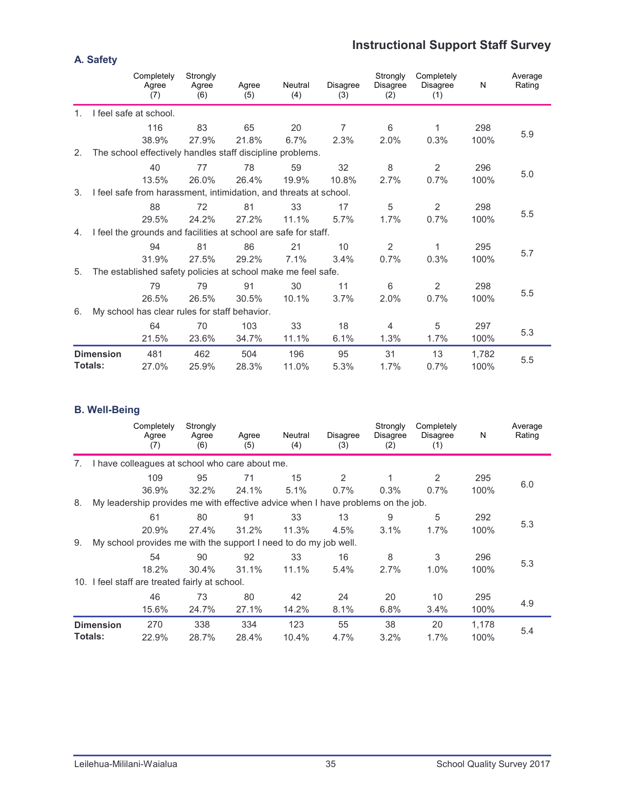## **Instructional Support Staff Survey**

|                |                  | Completely<br>Agree<br>(7)                                        | Strongly<br>Agree<br>(6) | Agree<br>(5) | Neutral<br>(4) | Disagree<br>(3) | Strongly<br><b>Disagree</b><br>(2) | Completely<br>Disagree<br>(1) | N     | Average<br>Rating |
|----------------|------------------|-------------------------------------------------------------------|--------------------------|--------------|----------------|-----------------|------------------------------------|-------------------------------|-------|-------------------|
| $\mathbf{1}$ . |                  | I feel safe at school.                                            |                          |              |                |                 |                                    |                               |       |                   |
|                |                  | 116                                                               | 83                       | 65           | 20             | $\overline{7}$  | 6                                  | 1                             | 298   |                   |
|                |                  | 38.9%                                                             | 27.9%                    | 21.8%        | 6.7%           | 2.3%            | 2.0%                               | 0.3%                          | 100%  | 5.9               |
| 2.             |                  | The school effectively handles staff discipline problems.         |                          |              |                |                 |                                    |                               |       |                   |
|                |                  | 40                                                                | 77                       | 78           | 59             | 32              | 8                                  | 2                             | 296   |                   |
|                |                  | 13.5%                                                             | 26.0%                    | 26.4%        | 19.9%          | 10.8%           | 2.7%                               | 0.7%                          | 100%  | 5.0               |
| 3.             |                  | I feel safe from harassment, intimidation, and threats at school. |                          |              |                |                 |                                    |                               |       |                   |
|                |                  | 88                                                                | 72                       | 81           | 33             | 17              | 5                                  | 2                             | 298   |                   |
|                |                  | 29.5%                                                             | 24.2%                    | 27.2%        | 11.1%          | 5.7%            | 1.7%                               | 0.7%                          | 100%  | 5.5               |
| 4.             |                  | I feel the grounds and facilities at school are safe for staff.   |                          |              |                |                 |                                    |                               |       |                   |
|                |                  | 94                                                                | 81                       | 86           | 21             | 10              | $\overline{2}$                     | 1                             | 295   |                   |
|                |                  | 31.9%                                                             | 27.5%                    | 29.2%        | 7.1%           | 3.4%            | 0.7%                               | 0.3%                          | 100%  | 5.7               |
| 5.             |                  | The established safety policies at school make me feel safe.      |                          |              |                |                 |                                    |                               |       |                   |
|                |                  | 79                                                                | 79                       | 91           | 30             | 11              | 6                                  | 2                             | 298   |                   |
|                |                  | 26.5%                                                             | 26.5%                    | 30.5%        | 10.1%          | 3.7%            | 2.0%                               | 0.7%                          | 100%  | 5.5               |
| 6.             |                  | My school has clear rules for staff behavior.                     |                          |              |                |                 |                                    |                               |       |                   |
|                |                  | 64                                                                | 70                       | 103          | 33             | 18              | $\overline{4}$                     | 5                             | 297   |                   |
|                |                  | 21.5%                                                             | 23.6%                    | 34.7%        | 11.1%          | 6.1%            | 1.3%                               | 1.7%                          | 100%  | 5.3               |
|                | <b>Dimension</b> | 481                                                               | 462                      | 504          | 196            | 95              | 31                                 | 13                            | 1,782 |                   |
|                | Totals:          | 27.0%                                                             | 25.9%                    | 28.3%        | 11.0%          | 5.3%            | 1.7%                               | 0.7%                          | 100%  | 5.5               |

#### **B. Well-Being**

|    |                             | Completely<br>Agree<br>(7)                                                       | Strongly<br>Agree<br>(6) | Agree<br>(5) | Neutral<br>(4) | <b>Disagree</b><br>(3) | Strongly<br>Disagree<br>(2) | Completely<br><b>Disagree</b><br>(1) | N             | Average<br>Rating |
|----|-----------------------------|----------------------------------------------------------------------------------|--------------------------|--------------|----------------|------------------------|-----------------------------|--------------------------------------|---------------|-------------------|
| 7. |                             | I have colleagues at school who care about me.                                   |                          |              |                |                        |                             |                                      |               |                   |
|    |                             | 109                                                                              | 95                       | 71           | 15             | $\overline{2}$         |                             | 2                                    | 295           |                   |
|    |                             | 36.9%                                                                            | 32.2%                    | 24.1%        | 5.1%           | $0.7\%$                | 0.3%                        | 0.7%                                 | 100%          | 6.0               |
| 8. |                             | My leadership provides me with effective advice when I have problems on the job. |                          |              |                |                        |                             |                                      |               |                   |
|    |                             | 61                                                                               | 80                       | 91           | 33             | 13                     | 9                           | 5                                    | 292           |                   |
|    |                             | 20.9%                                                                            | 27.4%                    | 31.2%        | 11.3%          | 4.5%                   | 3.1%                        | 1.7%                                 | 100%          | 5.3               |
| 9. |                             | My school provides me with the support I need to do my job well.                 |                          |              |                |                        |                             |                                      |               |                   |
|    |                             | 54                                                                               | 90                       | 92           | 33             | 16                     | 8                           | 3                                    | 296           |                   |
|    |                             | 18.2%                                                                            | 30.4%                    | 31.1%        | 11.1%          | 5.4%                   | 2.7%                        | 1.0%                                 | 100%          | 5.3               |
|    |                             | 10. I feel staff are treated fairly at school.                                   |                          |              |                |                        |                             |                                      |               |                   |
|    |                             | 46                                                                               | 73                       | 80           | 42             | 24                     | 20                          | 10                                   | 295           |                   |
|    |                             | 15.6%                                                                            | 24.7%                    | 27.1%        | 14.2%          | 8.1%                   | 6.8%                        | 3.4%                                 | 100%          | 4.9               |
|    | <b>Dimension</b><br>Totals: | 270<br>22.9%                                                                     | 338<br>28.7%             | 334<br>28.4% | 123<br>10.4%   | 55<br>4.7%             | 38<br>3.2%                  | 20<br>1.7%                           | 1,178<br>100% | 5.4               |